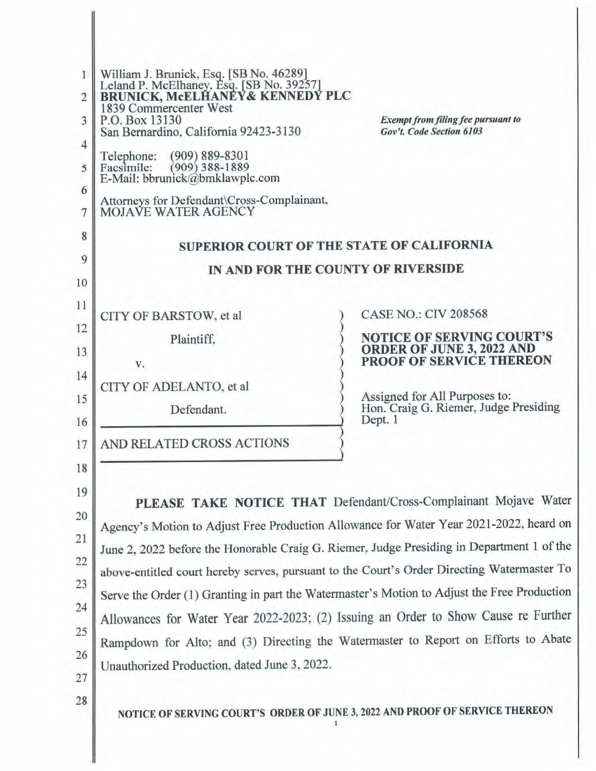| $\mathbf{1}$<br>$\overline{2}$<br>3<br>4<br>5<br>6<br>7<br>8<br>9<br>10 | William J. Brunick, Esq. [SB No. 46289]<br>Leland P. McElhaney, Esq. [SB No. 39257]<br>BRUNICK, McELHANEY& KENNEDY PLC<br>1839 Commercenter West<br>P.O. Box 13130<br>San Bernardino, California 92423-3130<br>$(909) 889 - 8301$<br>Telephone:<br>$(909)$ 388-1889<br>Facsimile:<br>E-Mail: bbrunick@bmklawplc.com<br>Attorneys for Defendant\Cross-Complainant,<br>MOJAVE WATER AGENCY<br>SUPERIOR COURT OF THE STATE OF CALIFORNIA<br>IN AND FOR THE COUNTY OF RIVERSIDE                                                                                                                                  | <b>Exempt from filing fee pursuant to</b><br>Gov't. Code Section 6103                            |  |  |  |
|-------------------------------------------------------------------------|--------------------------------------------------------------------------------------------------------------------------------------------------------------------------------------------------------------------------------------------------------------------------------------------------------------------------------------------------------------------------------------------------------------------------------------------------------------------------------------------------------------------------------------------------------------------------------------------------------------|--------------------------------------------------------------------------------------------------|--|--|--|
| 11                                                                      | CITY OF BARSTOW, et al                                                                                                                                                                                                                                                                                                                                                                                                                                                                                                                                                                                       | <b>CASE NO.: CIV 208568</b>                                                                      |  |  |  |
| 12<br>13                                                                | Plaintiff.<br>V.                                                                                                                                                                                                                                                                                                                                                                                                                                                                                                                                                                                             | <b>NOTICE OF SERVING COURT'S</b><br><b>ORDER OF JUNE 3, 2022 AND</b><br>PROOF OF SERVICE THEREON |  |  |  |
| 14<br>15<br>16                                                          | CITY OF ADELANTO, et al<br>Defendant.                                                                                                                                                                                                                                                                                                                                                                                                                                                                                                                                                                        | Assigned for All Purposes to:<br>Hon. Craig G. Riemer, Judge Presiding<br>Dept. 1                |  |  |  |
| 17                                                                      | AND RELATED CROSS ACTIONS                                                                                                                                                                                                                                                                                                                                                                                                                                                                                                                                                                                    |                                                                                                  |  |  |  |
| 18<br>19<br>20<br>21<br>22<br>23<br>24<br>25<br>26<br>27<br>28          | Agency's Motion to Adjust Free Production Allowance for Water Year 2021-2022, heard on<br>June 2, 2022 before the Honorable Craig G. Riemer, Judge Presiding in Department 1 of the<br>above-entitled court hereby serves, pursuant to the Court's Order Directing Watermaster To<br>Serve the Order (1) Granting in part the Watermaster's Motion to Adjust the Free Production<br>Allowances for Water Year 2022-2023; (2) Issuing an Order to Show Cause re Further<br>Rampdown for Alto; and (3) Directing the Watermaster to Report on Efforts to Abate<br>Unauthorized Production, dated June 3, 2022. | PLEASE TAKE NOTICE THAT Defendant/Cross-Complainant Mojave Water                                 |  |  |  |
|                                                                         | NOTICE OF SERVING COURT'S ORDER OF JUNE 3, 2022 AND PROOF OF SERVICE THEREON                                                                                                                                                                                                                                                                                                                                                                                                                                                                                                                                 |                                                                                                  |  |  |  |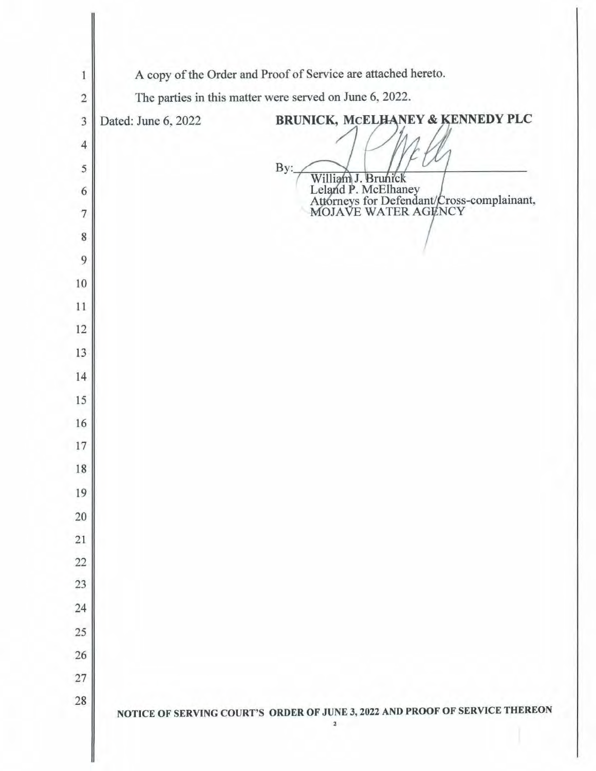| 1              | A copy of the Order and Proof of Service are attached hereto.                |                                                                                          |  |  |  |
|----------------|------------------------------------------------------------------------------|------------------------------------------------------------------------------------------|--|--|--|
| $\sqrt{2}$     | The parties in this matter were served on June 6, 2022.                      |                                                                                          |  |  |  |
| $\overline{3}$ | Dated: June 6, 2022                                                          | BRUNICK, MCELHANEY & KENNEDY PLC                                                         |  |  |  |
| $\overline{4}$ |                                                                              |                                                                                          |  |  |  |
| 5              |                                                                              | By:                                                                                      |  |  |  |
| 6              |                                                                              | <b>Brunick</b><br>Wil                                                                    |  |  |  |
| $\overline{7}$ |                                                                              | Leland P. McElhaney<br>Attorneys for Defendant/Cross-complainant,<br>MOJAVE WATER AGENCY |  |  |  |
| 8              |                                                                              |                                                                                          |  |  |  |
| 9              |                                                                              |                                                                                          |  |  |  |
| $10\,$         |                                                                              |                                                                                          |  |  |  |
| 11             |                                                                              |                                                                                          |  |  |  |
| 12             |                                                                              |                                                                                          |  |  |  |
| 13             |                                                                              |                                                                                          |  |  |  |
| 14             |                                                                              |                                                                                          |  |  |  |
| 15             |                                                                              |                                                                                          |  |  |  |
| 16             |                                                                              |                                                                                          |  |  |  |
| 17             |                                                                              |                                                                                          |  |  |  |
| 18             |                                                                              |                                                                                          |  |  |  |
| 19             |                                                                              |                                                                                          |  |  |  |
| 20             |                                                                              |                                                                                          |  |  |  |
| 21             |                                                                              |                                                                                          |  |  |  |
| 22             |                                                                              |                                                                                          |  |  |  |
| 23             |                                                                              |                                                                                          |  |  |  |
| 24             |                                                                              |                                                                                          |  |  |  |
| 25             |                                                                              |                                                                                          |  |  |  |
| 26             |                                                                              |                                                                                          |  |  |  |
| 27             |                                                                              |                                                                                          |  |  |  |
| 28             | NOTICE OF SERVING COURT'S ORDER OF JUNE 3, 2022 AND PROOF OF SERVICE THEREON |                                                                                          |  |  |  |
|                |                                                                              | $\overline{\mathbf{2}}$                                                                  |  |  |  |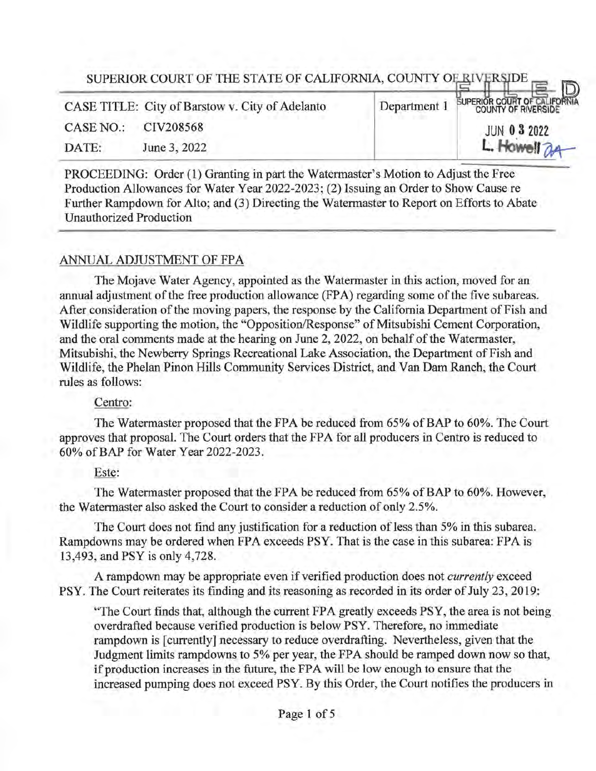|           | SUPERIOR COURT OF THE STATE OF CALIFORNIA, COUNTY OF RIVERSIDE |              |                                     |
|-----------|----------------------------------------------------------------|--------------|-------------------------------------|
|           | CASE TITLE: City of Barstow v. City of Adelanto                | Department 1 | <b>SUPERIOR COURT OF CALIFORNIA</b> |
| CASE NO.: | CIV208568                                                      |              | <b>JUN 0 3 2022</b>                 |
| DATE:     | June 3, 2022                                                   |              | L. Howell 24                        |
|           |                                                                |              |                                     |

PROCEEDING: Order (1) Granting in part the Watermaster's Motion to Adjust the Free Production Allowances for Water Year 2022-2023; (2) Issuing an Order to Show Cause re Further Rampdown for Alto; and (3) Directing the Watermaster to Report on Efforts to Abate Unauthorized Production

# ANNUAL ADJUSTMENT OF FPA

The Mojave Water Agency, appointed as the Watermaster in this action, moved for an annual adjustment of the free production allowance (FPA) regarding some of the five subareas. After consideration of the moving papers, the response by the California Department of Fish and Wildlife supporting the motion, the "Opposition/Response" of Mitsubishi Cement Corporation, and the oral comments made at the hearing on June 2, 2022, on behalf of the Watermaster, Mitsubishi, the Newberry Springs Recreational Lake Association, the Department ofFish and Wildlife, the Phelan Pinon Hills Community Services District, and Van Dam Ranch, the Court rules as follows:

## Centro:

The Watermaster proposed that the FPA be reduced from 65% of BAP to 60%. The Court approves that proposal. The Court orders that the FPA for all producers in Centro is reduced to 60% ofBAP for Water Year 2022-2023.

## Este:

The Watermaster proposed that the FPA be reduced from 65% of BAP to 60%. However, the Watermaster also asked the Court to consider a reduction of only 2.5%.

The Court does not find any justification for a reduction of less than 5% in this subarea. Rampdowns may be ordered when FPA exceeds PSY. That is the case in this subarea: FPA is 13,493, and PSY is only 4,728.

A rampdown may be appropriate even if verified production does not *currently* exceed PSY. The Court reiterates its finding and its reasoning as recorded in its order of July 23, 2019:

"The Court finds that, although the current FPA greatly exceeds PSY, the area is not being overdrafted because verified production is below PSY. Therefore, no immediate rampdown is [currently] necessary to reduce overdrafting. Nevertheless, given that the Judgment limits rampdowns to 5% per year, the FPA should be ramped down now so that, if production increases in the future, the FPA will be low enough to ensure that the increased pumping does not exceed PSY. By this Order, the Court notifies the producers in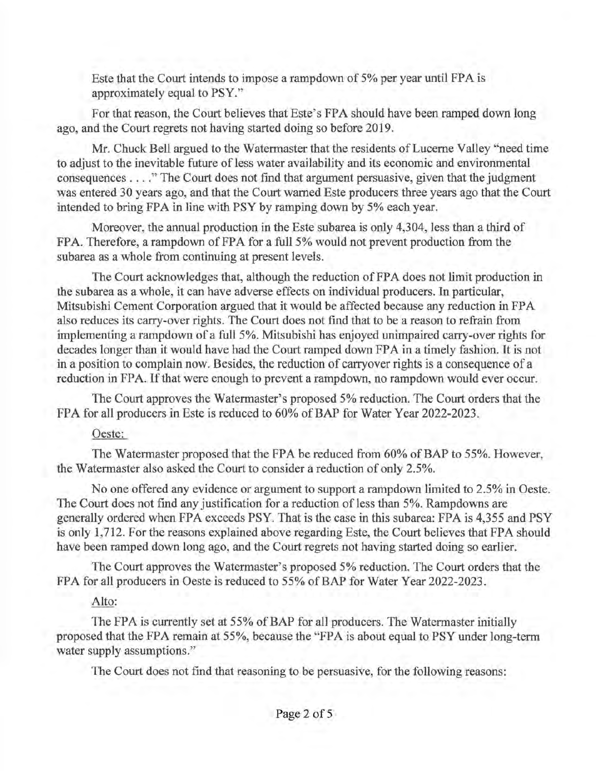Este that the Court intends to impose a rampdown of 5% per year until FPA is approximately equal to PSY."

For that reason, the Court believes that Este's FPA should have been ramped down long ago, and the Court regrets not having started doing so before 2019.

Mr. Chuck Bell argued to the Watermaster that the residents of Lucerne Valley "need time to adjust to the inevitable future of less water availability and its economic and environmental consequences .... " The Court does not find that argument persuasive, given that the judgment was entered 30 years ago, and that the Court warned Este producers three years ago that the Court intended to bring FPA in line with PSY by ramping down by 5% each year.

Moreover, the annual production in the Este subarea is only 4,304, less than a third of FPA. Therefore, a rampdown of FPA for a full 5% would not prevent production from the subarea as a whole from continuing at present levels.

The Court acknowledges that, although the reduction of FPA does not limit production in the subarea as a whole, it can have adverse effects on individual producers. In particular, Mitsubishi Cement Corporation argued that it would be affected because any reduction in FP A also reduces its carry-over rights. The Court does not find that to be a reason to refrain from implementing a rampdown of a full 5%. Mitsubishi has enjoyed unimpaired carry-over rights for decades longer than it would have had the Court ramped down FPA in a timely fashion. It is not in a position to complain now. Besides, the reduction of carryover rights is a consequence of a reduction in FPA. If that were enough to prevent a rampdown, no rampdown would ever occur.

The Court approves the Watermaster's proposed 5% reduction. The Court orders that the FPA for all producers in Este is reduced to 60% of BAP for Water Year 2022-2023.

# Oeste:

The Watermaster proposed that the FPA be reduced from 60% of BAP to 55%. However, the Watermaster also asked the Court to consider a reduction of only 2.5%.

No one offered any evidence or argument to support a rampdown limited to 2.5% in Oeste. The Court does not find any justification for a reduction of less than 5%. Rampdowns are generally ordered when FPA exceeds PSY. That is the case in this subarea: FPA is 4,355 and PSY is only 1,712. For the reasons explained above regarding Este, the Court believes that FPA should have been ramped down long ago, and the Court regrets not having started doing so earlier.

The Court approves the Watermaster's proposed 5% reduction. The Court orders that the FPA for all producers in Oeste is reduced to 55% of BAP for Water Year 2022-2023.

# Alto:

The FPA is currently set at 55% of BAP for all producers. The Watermaster initially proposed that the FPA remain at 55%, because the "FPA is about equal to PSYunder long-term water supply assumptions."

The Court does not find that reasoning to be persuasive, for the following reasons: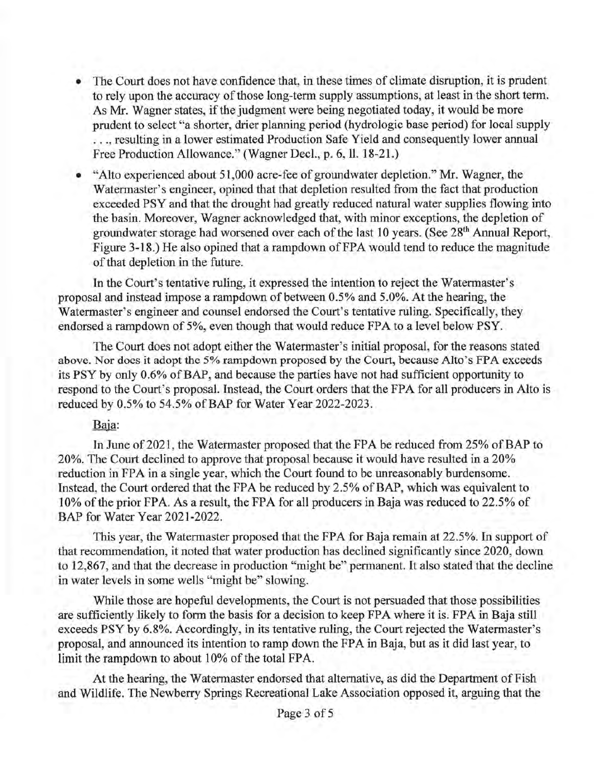- The Court does not have confidence that, in these times of climate disruption, it is prudent to rely upon the accuracy of those long-term supply assumptions, at least in the short term. As Mr. Wagner states, if the judgment were being negotiated today, it would be more prudent to select "a shorter, drier planning period (hydrologic base period) for local supply ... resulting in a lower estimated Production Safe Yield and consequently lower annual Free Production Allowance." (Wagner Decl., p. 6, ll. 18-21.)
- "Alto experienced about 51,000 acre-fee of groundwater depletion." Mr. Wagner, the Watermaster's engineer, opined that that depletion resulted from the fact that production exceeded PSY and that the drought had greatly reduced natural water supplies flowing into the basin. Moreover, Wagner acknowledged that, with minor exceptions, the depletion of groundwater storage had worsened over each of the last 10 years. (See 28<sup>th</sup> Annual Report, Figure 3-18.) He also opined that a rampdown of FPA would tend to reduce the magnitude of that depletion in the future.

In the Court's tentative ruling, it expressed the intention to reject the Watermaster's proposal and instead impose a rampdown of between 0.5% and 5.0%. At the hearing, the Watermaster's engineer and counsel endorsed the Court's tentative ruling. Specifically, they endorsed a rampdown of 5%, even though that would reduce FPA to a level below PSY.

The Court does not adopt either the Watermaster's initial proposal, for the reasons stated above. Nor docs it adopt the 5% rampdown proposed by the Court, because Alto's FPA exceeds its PSY by only 0.6% ofBAP, and because the parties have not had sufficient opportunity to respond to the Court's proposal. Instead, the Court orders that the FPA for all producers in Alto is reduced by 0.5% to 54.5% of BAP for Water Year 2022-2023.

# Baja:

In June of 2021, the Watermaster proposed that the FPA be reduced from 25% of BAP to 20%. The Court declined to approve that proposal because it would have resulted in a 20% reduction in FPA in a single year, which the Court found to be unreasonably burdensome. Instead, the Court ordered that the FPA be reduced by 2.5% of BAP, which was equivalent to 10% of the prior FPA. As a result, the FPA for all producers in Baja was reduced to 22.5% of BAP for Water Year 2021-2022.

This year, the Watermaster proposed that the FPA for Baja remain at 22.5%. In support of that recommendation, it noted that water production has declined significantly since 2020, down to 12,867, and that the decrease in production "might be" permanent. It also stated that the decline in water levels in some wells "might be" slowing.

While those are hopeful developments, the Court is not persuaded that those possibilities are sufficiently likely to form the basis for a decision to keep FPA where it is. FPA in Baja still exceeds PSY by 6.8%. Accordingly, in its tentative ruling, the Court rejected the Watermaster's proposal, and announced its intention to ramp down the FPA in Baja, but as it did last year, to limit the rampdown to about 10% of the total FPA.

At the hearing, the Watermaster endorsed that alternative, as did the Department of Fish and Wildlife. The Newberry Springs Recreational Lake Association opposed it, arguing that the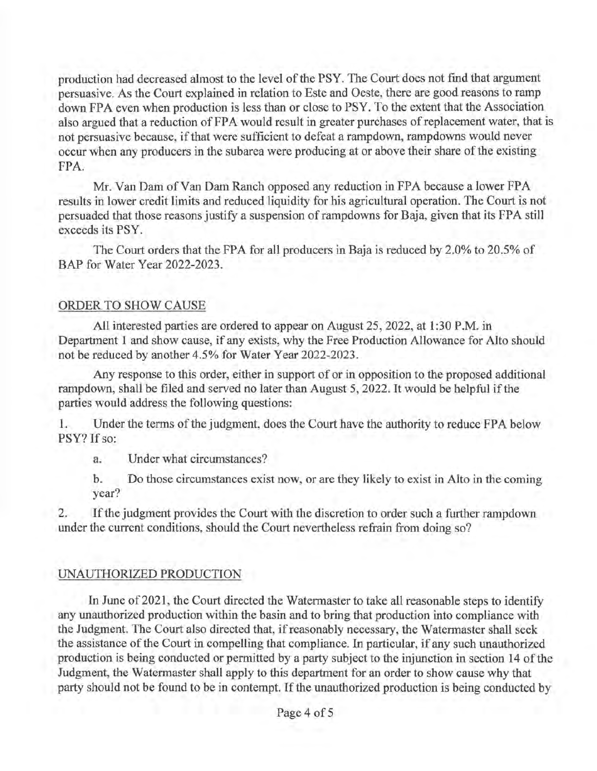production had decreased almost to the level of the PSY. The Court does not find that argument persuasive. As the Court explained in relation to Este and Oeste, there are good reasons to ramp down FPA even when production is less than or close to PSY. To the extent that the Association also argued that a reduction of FPA would result in greater purchases of replacement water, that is not persuasive because, if that were sufficient to defeat a rampdown, rampdowns would never occur when any producers in the subarea were producing at or above their share of the existing FPA.

Mr. Van Dam of Van Dam Ranch opposed any reduction in FPA because a lower FPA results in lower credit limits and reduced liquidity for his agricultural operation. The Court is not persuaded that those reasons justify a suspension of rampdowns for Baja, given that its FPA still exceeds its PSY.

The Court orders that the FPA for all producers in Baja is reduced by 2.0% to 20.5% of BAP for Water Year 2022-2023.

## ORDER TO SHOW CAUSE

All interested parties are ordered to appear on August 25, 2022, at 1:30 P.M. in Department 1 and show cause, if any exists, why the Free Production Allowance for Alto should not be reduced by another 4.5% for Water Year 2022-2023.

Any response to this order, either in support of or in opposition to the proposed additional rarnpdown, shall be filed and served no later than August 5, 2022. It would be helpful if the parties would address the following questions:

1. Under the terms of the judgment, does the Court have the authority to reduce FPA below PSY? If so:

a. Under what circumstances?

b. Do those circumstances exist now, or are they likely to exist in Alto in the coming year?

2. If the judgment provides the Court with the discretion to order such a further rampdown under the current conditions, should the Court nevertheless refrain from doing so?

# UNAUTHORIZED PRODUCTION

In June of 2021, the Court directed the Watermaster to take all reasonable steps to identify any unauthorized production within the basin and to bring that production into compliance with the Judgment. The Court also directed that, if reasonably necessary, the Watermaster shall seek the assistance of the Court in compelling that compliance. In particular, if any such unauthorized production is being conducted or permitted by a party subject to the injunction in section 14 of the Judgment, the Watermaster shall apply to this department for an order to show cause why that party should not be found to be in contempt. If the unauthorized production is being conducted by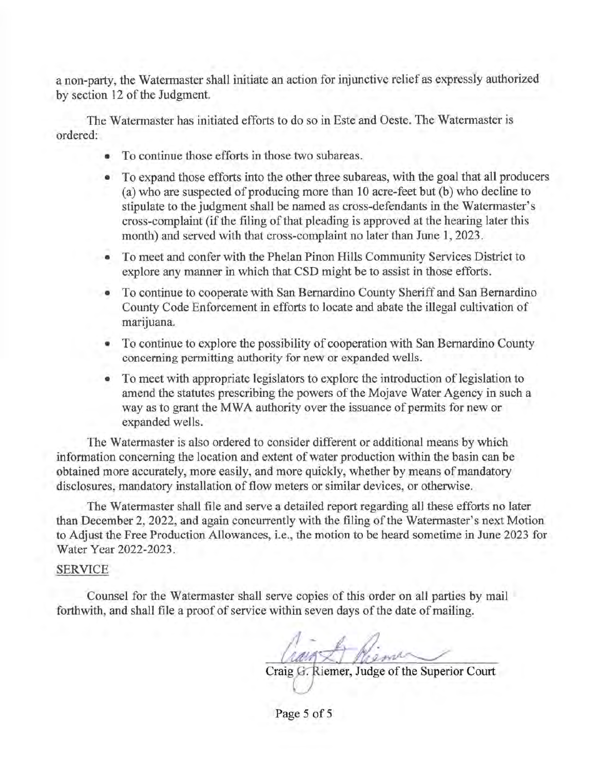a non-party, the Watermaster shall initiate an action for injunctive relief as expressly authorized by section 12 of the Judgment.

The Watermaster has initiated efforts to do so in Este and Oeste. The Watermaster is ordered:

- To continue those efforts in those two subareas.
- To expand those efforts into the other three subareas, with the goal that all producers (a) who are suspected of producing more than 10 acre-feet but (b) who decline to stipulate to the judgment shall be named as cross-defendants in the Watermaster's cross-complaint (if the filing of that pleading is approved at the hearing later this month) and served with that cross-complaint no later than June 1, 2023.
- To meet and confer with the Phelan Pinon Hills Community Services District to explore any manner in which that CSD might be to assist in those efforts.
- To continue to cooperate with San Bernardino County Sheriff and San Bernardino County Code Enforcement in efforts to locate and abate the illegal cultivation of marijuana.
- To continue to explore the possibility of cooperation with San Bernardino County concerning permitting authority for new or expanded wells.
- To meet with appropriate legislators to explore the introduction of legislation to amend the statutes prescribing the powers of the Mojave Water Agency in such a way as to grant the MWA authority over the issuance of permits for new or expanded wells.

The Watermaster is also ordered to consider different or additional means by which information concerning the location and extent of water production within the basin can be obtained more accurately, more easily, and more quickly, whether by means of mandatory disclosures, mandatory installation of flow meters or similar devices, or otherwise.

The Watermaster shall file and serve a detailed report regarding all these efforts no later than December 2, 2022, and again concurrently with the filing of the Watermaster's next Motion to Adjust the Free Production Allowances, i.e., the motion to be heard sometime in June 2023 for Water Year 2022-2023.

### SERVICE

Counsel for the Watermaster shall serve copies of this order on all parties by mail forthwith, and shall file a proof of service within seven days of the date of mailing.

Craig G. Riemer, Judge of the Superior Court

Page 5 of 5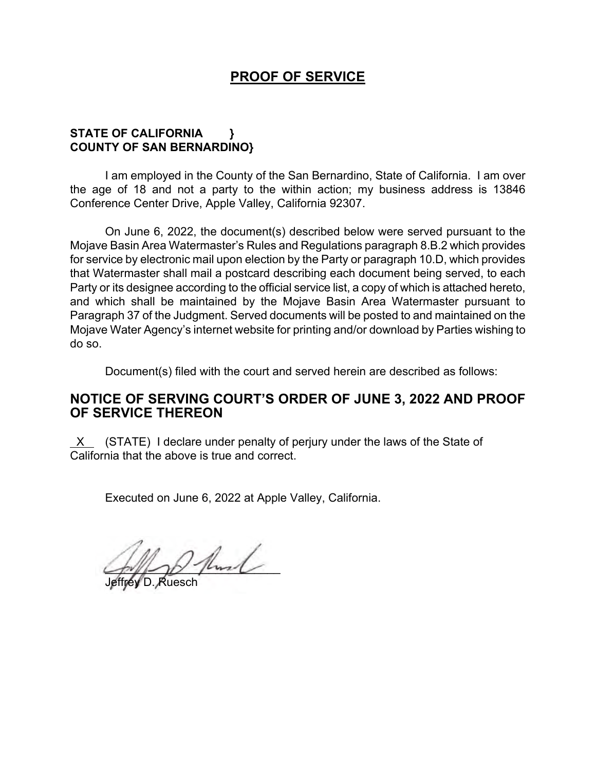# **PROOF OF SERVICE**

## **STATE OF CALIFORNIA } COUNTY OF SAN BERNARDINO}**

I am employed in the County of the San Bernardino, State of California. I am over the age of 18 and not a party to the within action; my business address is 13846 Conference Center Drive, Apple Valley, California 92307.

On June 6, 2022, the document(s) described below were served pursuant to the Mojave Basin Area Watermaster's Rules and Regulations paragraph 8.B.2 which provides for service by electronic mail upon election by the Party or paragraph 10.D, which provides that Watermaster shall mail a postcard describing each document being served, to each Party or its designee according to the official service list, a copy of which is attached hereto, and which shall be maintained by the Mojave Basin Area Watermaster pursuant to Paragraph 37 of the Judgment. Served documents will be posted to and maintained on the Mojave Water Agency's internet website for printing and/or download by Parties wishing to do so.

Document(s) filed with the court and served herein are described as follows:

# **NOTICE OF SERVING COURT'S ORDER OF JUNE 3, 2022 AND PROOF OF SERVICE THEREON**

 $X$  (STATE) I declare under penalty of perjury under the laws of the State of California that the above is true and correct.

Executed on June 6, 2022 at Apple Valley, California.

 $2$  fluid

Jeffrey D. Ruesch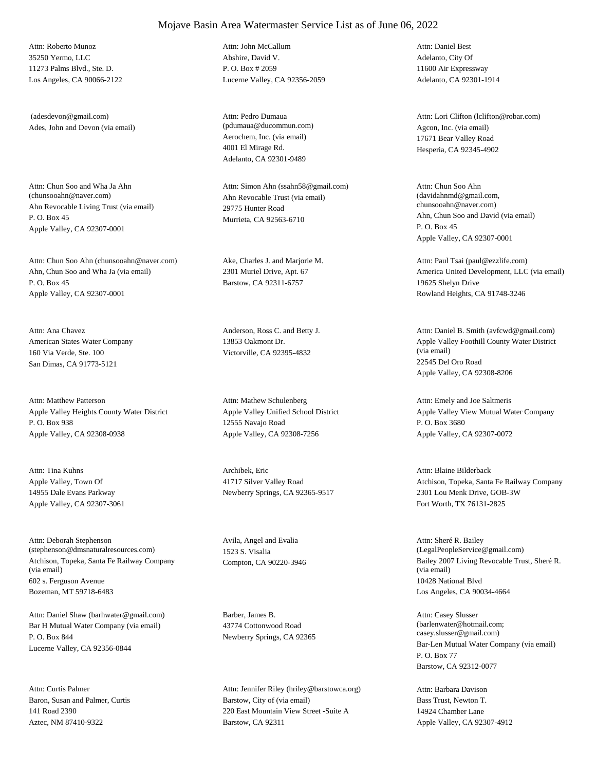35250 Yermo, LLC 11273 Palms Blvd., Ste. D. Los Angeles, CA 90066-2122 Attn: Roberto Munoz

Ades, John and Devon (via email) (adesdevon@gmail.com)

Ahn Revocable Living Trust (via email) P. O. Box 45 Apple Valley, CA 92307-0001 Attn: Chun Soo and Wha Ja Ahn<br>(chunsooahn@naver.com)

Ahn, Chun Soo and Wha Ja (via email) P. O. Box 45 Apple Valley, CA 92307-0001 Attn: Chun Soo Ahn (chunsooahn@naver.com) Ake, Charles J. and Marjorie M.

American States Water Company 160 Via Verde, Ste. 100 San Dimas, CA 91773-5121 Attn: Ana Chavez Anderson, Ross C. and Betty J.

Apple Valley Heights County Water District P. O. Box 938 Apple Valley, CA 92308-0938 Attn: Matthew Patterson

Apple Valley, Town Of 14955 Dale Evans Parkway Apple Valley, CA 92307-3061 Attn: Tina Kuhns Archibek, Eric

Atchison, Topeka, Santa Fe Railway Company (via email) 602 s. Ferguson Avenue Bozeman, MT 59718-6483 Attn: Deborah Stephenson (stephenson@dmsnaturalresources.com)

Bar H Mutual Water Company (via email) P. O. Box 844 Lucerne Valley, CA 92356-0844 Attn: Daniel Shaw (barhwater@gmail.com) Barber, James B.

Baron, Susan and Palmer, Curtis 141 Road 2390 Aztec, NM 87410-9322 Attn: Curtis Palmer

Abshire, David V. P. O. Box # 2059 Lucerne Valley, CA 92356-2059 Attn: John McCallum

Aerochem, Inc. (via email) 4001 El Mirage Rd. Adelanto, CA 92301-9489 Attn: Pedro Dumaua (pdumaua@ducommun.com) Agcon, Inc. (via email)

Ahn Revocable Trust (via email) 29775 Hunter Road Murrieta, CA 92563-6710 Attn: Simon Ahn (ssahn58@gmail.com)

2301 Muriel Drive, Apt. 67 Barstow, CA 92311-6757

13853 Oakmont Dr. Victorville, CA 92395-4832

Apple Valley Unified School District 12555 Navajo Road Apple Valley, CA 92308-7256 Attn: Mathew Schulenberg

41717 Silver Valley Road Newberry Springs, CA 92365-9517

Avila, Angel and Evalia 1523 S. Visalia

43774 Cottonwood Road Newberry Springs, CA 92365

Barstow, City of (via email) 220 East Mountain View Street -Suite A Barstow, CA 92311 Attn: Jennifer Riley (hriley@barstowca.org) Adelanto, City Of 11600 Air Expressway Adelanto, CA 92301-1914 Attn: Daniel Best

17671 Bear Valley Road Hesperia, CA 92345-4902 Attn: Lori Clifton (lclifton@robar.com)

Ahn, Chun Soo and David (via email) P. O. Box 45 Apple Valley, CA 92307-0001 Attn: Chun Soo Ahn (davidahnmd@gmail.com, chunsooahn@naver.com)

America United Development, LLC (via email) 19625 Shelyn Drive Rowland Heights, CA 91748-3246 Attn: Paul Tsai (paul@ezzlife.com)

Apple Valley Foothill County Water District (via email) 22545 Del Oro Road Apple Valley, CA 92308-8206 Attn: Daniel B. Smith (avfcwd@gmail.com)

Apple Valley View Mutual Water Company P. O. Box 3680 Apple Valley, CA 92307-0072 Attn: Emely and Joe Saltmeris

Atchison, Topeka, Santa Fe Railway Company 2301 Lou Menk Drive, GOB-3W Fort Worth, TX 76131-2825 Attn: Blaine Bilderback

Compton, CA 90220-3946 Bailey 2007 Living Revocable Trust, Sheré R. (via email) 10428 National Blvd Los Angeles, CA 90034-4664 Attn: Sheré R. Bailey (LegalPeopleService@gmail.com)

> Bar-Len Mutual Water Company (via email) P. O. Box 77 Barstow, CA 92312-0077 Attn: Casey Slusser (barlenwater@hotmail.com; casey.slusser@gmail.com)

Bass Trust, Newton T. 14924 Chamber Lane Apple Valley, CA 92307-4912 Attn: Barbara Davison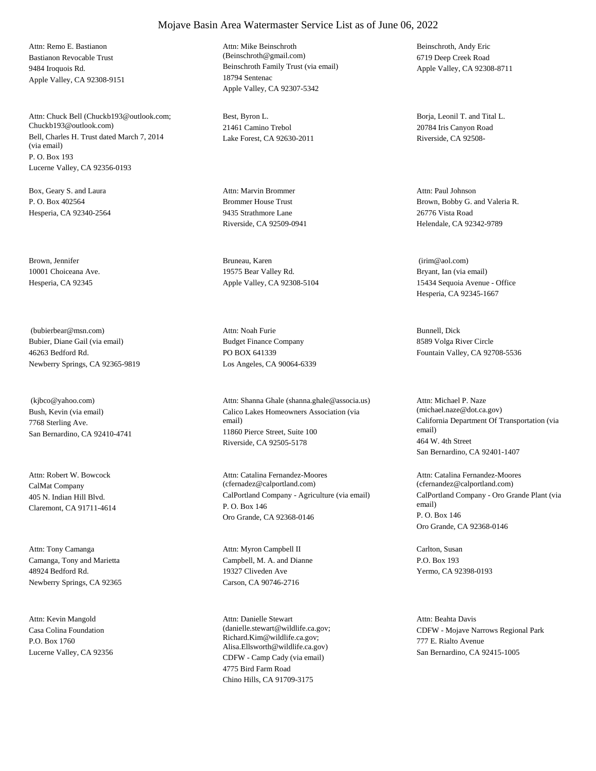Bastianon Revocable Trust 9484 Iroquois Rd. Apple Valley, CA 92308-9151 Attn: Remo E. Bastianon

Bell, Charles H. Trust dated March 7, 2014 (via email) P. O. Box 193 Lucerne Valley, CA 92356-0193 Attn: Chuck Bell (Chuckb193@outlook.com; Chuckb193@outlook.com)

Box, Geary S. and Laura P. O. Box 402564 Hesperia, CA 92340-2564

Brown, Jennifer 10001 Choiceana Ave. Hesperia, CA 92345

Bubier, Diane Gail (via email) 46263 Bedford Rd. Newberry Springs, CA 92365-9819 (bubierbear@msn.com)

Bush, Kevin (via email) 7768 Sterling Ave. San Bernardino, CA 92410-4741 (kjbco@yahoo.com)

CalMat Company 405 N. Indian Hill Blvd. Claremont, CA 91711-4614 Attn: Robert W. Bowcock

Camanga, Tony and Marietta 48924 Bedford Rd. Newberry Springs, CA 92365 Attn: Tony Camanga

Casa Colina Foundation P.O. Box 1760 Lucerne Valley, CA 92356 Attn: Kevin Mangold

Beinschroth Family Trust (via email) 18794 Sentenac Apple Valley, CA 92307-5342 Attn: Mike Beinschroth (Beinschroth@gmail.com)

Best, Byron L. 21461 Camino Trebol Lake Forest, CA 92630-2011

Brommer House Trust 9435 Strathmore Lane Riverside, CA 92509-0941 Attn: Marvin Brommer

Bruneau, Karen 19575 Bear Valley Rd. Apple Valley, CA 92308-5104

Budget Finance Company PO BOX 641339 Los Angeles, CA 90064-6339 Attn: Noah Furie Bunnell, Dick

Calico Lakes Homeowners Association (via email) 11860 Pierce Street, Suite 100 Riverside, CA 92505-5178 Attn: Shanna Ghale (shanna.ghale@associa.us)

CalPortland Company - Agriculture (via email) P. O. Box 146 Oro Grande, CA 92368-0146 Attn: Catalina Fernandez-Moores (cfernadez@calportland.com)

Campbell, M. A. and Dianne 19327 Cliveden Ave Carson, CA 90746-2716 Attn: Myron Campbell II Carlton, Susan

CDFW - Camp Cady (via email) 4775 Bird Farm Road Chino Hills, CA 91709-3175 Attn: Danielle Stewart (danielle.stewart@wildlife.ca.gov; Richard.Kim@wildlife.ca.gov; Alisa.Ellsworth@wildlife.ca.gov)

Beinschroth, Andy Eric 6719 Deep Creek Road Apple Valley, CA 92308-8711

Borja, Leonil T. and Tital L. 20784 Iris Canyon Road Riverside, CA 92508-

Brown, Bobby G. and Valeria R. 26776 Vista Road Helendale, CA 92342-9789 Attn: Paul Johnson

Bryant, Ian (via email) 15434 Sequoia Avenue - Office Hesperia, CA 92345-1667 (irim@aol.com)

8589 Volga River Circle Fountain Valley, CA 92708-5536

California Department Of Transportation (via email) 464 W. 4th Street San Bernardino, CA 92401-1407 Attn: Michael P. Naze (michael.naze@dot.ca.gov)

CalPortland Company - Oro Grande Plant (via email) P. O. Box 146 Oro Grande, CA 92368-0146 Attn: Catalina Fernandez-Moores (cfernandez@calportland.com)

P.O. Box 193 Yermo, CA 92398-0193

CDFW - Mojave Narrows Regional Park 777 E. Rialto Avenue San Bernardino, CA 92415-1005 Attn: Beahta Davis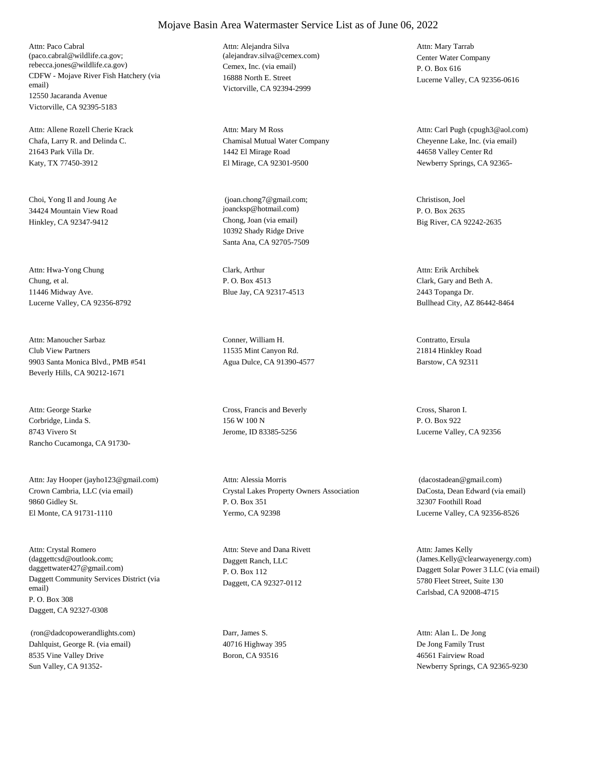CDFW - Mojave River Fish Hatchery (via email) 12550 Jacaranda Avenue Victorville, CA 92395-5183 Attn: Paco Cabral (paco.cabral@wildlife.ca.gov; rebecca.jones@wildlife.ca.gov) Cemex, Inc. (via email)

Chafa, Larry R. and Delinda C. 21643 Park Villa Dr. Katy, TX 77450-3912 Attn: Allene Rozell Cherie Krack

Choi, Yong Il and Joung Ae 34424 Mountain View Road Hinkley, CA 92347-9412 Chong, Joan (via email)

Chung, et al. 11446 Midway Ave. Lucerne Valley, CA 92356-8792 Attn: Hwa-Yong Chung Clark, Arthur

Club View Partners 9903 Santa Monica Blvd., PMB #541 Beverly Hills, CA 90212-1671 Attn: Manoucher Sarbaz Conner, William H.

Corbridge, Linda S. 8743 Vivero St Rancho Cucamonga, CA 91730- Attn: George Starke Cross, Francis and Beverly

Crown Cambria, LLC (via email) 9860 Gidley St. El Monte, CA 91731-1110 Attn: Jay Hooper (jayho123@gmail.com)

Daggett Community Services District (via email) P. O. Box 308 Daggett, CA 92327-0308 Attn: Crystal Romero (daggettcsd@outlook.com; daggettwater427@gmail.com)

Dahlquist, George R. (via email) 8535 Vine Valley Drive Sun Valley, CA 91352- (ron@dadcopowerandlights.com) Darr, James S.

16888 North E. Street Victorville, CA 92394-2999 Attn: Alejandra Silva (alejandrav.silva@cemex.com) Center Water Company

Chamisal Mutual Water Company 1442 El Mirage Road El Mirage, CA 92301-9500 Attn: Mary M Ross

10392 Shady Ridge Drive Santa Ana, CA 92705-7509 (joan.chong7@gmail.com; joancksp@hotmail.com)

P. O. Box 4513 Blue Jay, CA 92317-4513

11535 Mint Canyon Rd. Agua Dulce, CA 91390-4577

156 W 100 N Jerome, ID 83385-5256

Crystal Lakes Property Owners Association P. O. Box 351 Yermo, CA 92398 Attn: Alessia Morris

Daggett Ranch, LLC P. O. Box 112 Daggett, CA 92327-0112 Attn: Steve and Dana Rivett

40716 Highway 395 Boron, CA 93516

P. O. Box 616 Lucerne Valley, CA 92356-0616 Attn: Mary Tarrab

Cheyenne Lake, Inc. (via email) 44658 Valley Center Rd Newberry Springs, CA 92365- Attn: Carl Pugh (cpugh3@aol.com)

Christison, Joel P. O. Box 2635 Big River, CA 92242-2635

Clark, Gary and Beth A. 2443 Topanga Dr. Bullhead City, AZ 86442-8464 Attn: Erik Archibek

Contratto, Ersula 21814 Hinkley Road Barstow, CA 92311

Cross, Sharon I. P. O. Box 922 Lucerne Valley, CA 92356

DaCosta, Dean Edward (via email) 32307 Foothill Road Lucerne Valley, CA 92356-8526 (dacostadean@gmail.com)

Daggett Solar Power 3 LLC (via email) 5780 Fleet Street, Suite 130 Carlsbad, CA 92008-4715 Attn: James Kelly (James.Kelly@clearwayenergy.com)

De Jong Family Trust 46561 Fairview Road Newberry Springs, CA 92365-9230 Attn: Alan L. De Jong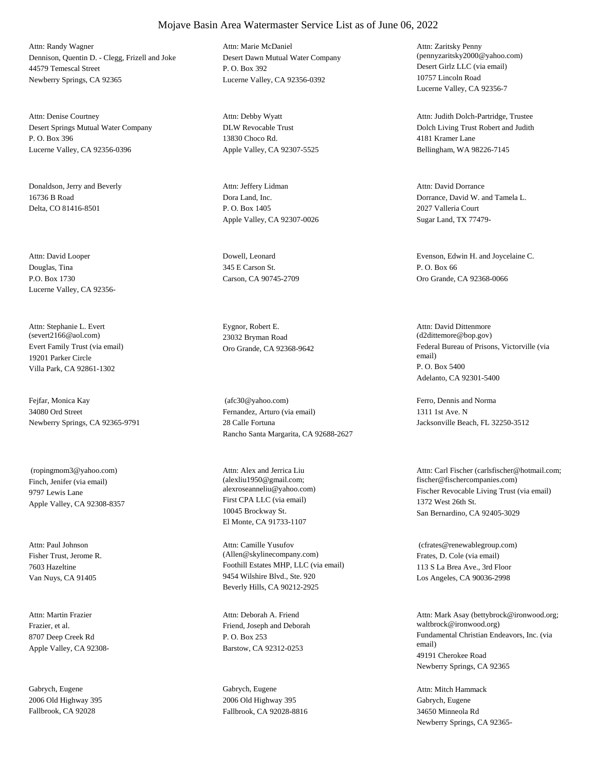Dennison, Quentin D. - Clegg, Frizell and Joke 44579 Temescal Street Newberry Springs, CA 92365 Attn: Randy Wagner

Desert Springs Mutual Water Company P. O. Box 396 Lucerne Valley, CA 92356-0396 Attn: Denise Courtney

Donaldson, Jerry and Beverly 16736 B Road Delta, CO 81416-8501

Douglas, Tina P.O. Box 1730 Lucerne Valley, CA 92356- Attn: David Looper Dowell, Leonard

Evert Family Trust (via email) 19201 Parker Circle Villa Park, CA 92861-1302 Attn: Stephanie L. Evert (severt2166@aol.com)

Fejfar, Monica Kay 34080 Ord Street Newberry Springs, CA 92365-9791

Finch, Jenifer (via email) 9797 Lewis Lane Apple Valley, CA 92308-8357 (ropingmom3@yahoo.com)

Fisher Trust, Jerome R. 7603 Hazeltine Van Nuys, CA 91405 Attn: Paul Johnson

Frazier, et al. 8707 Deep Creek Rd Apple Valley, CA 92308- Attn: Martin Frazier

Gabrych, Eugene 2006 Old Highway 395 Fallbrook, CA 92028

Desert Dawn Mutual Water Company P. O. Box 392 Lucerne Valley, CA 92356-0392 Attn: Marie McDaniel

DLW Revocable Trust 13830 Choco Rd. Apple Valley, CA 92307-5525 Attn: Debby Wyatt

Dora Land, Inc. P. O. Box 1405 Apple Valley, CA 92307-0026 Attn: Jeffery Lidman

345 E Carson St. Carson, CA 90745-2709

Eygnor, Robert E. 23032 Bryman Road

Fernandez, Arturo (via email) 28 Calle Fortuna Rancho Santa Margarita, CA 92688-2627 (afc30@yahoo.com) Ferro, Dennis and Norma

First CPA LLC (via email) 10045 Brockway St. El Monte, CA 91733-1107 Attn: Alex and Jerrica Liu (alexliu1950@gmail.com;

Foothill Estates MHP, LLC (via email) 9454 Wilshire Blvd., Ste. 920 Beverly Hills, CA 90212-2925 Attn: Camille Yusufov (Allen@skylinecompany.com) Frates, D. Cole (via email)

Friend, Joseph and Deborah P. O. Box 253 Barstow, CA 92312-0253 Attn: Deborah A. Friend

Gabrych, Eugene 2006 Old Highway 395 Fallbrook, CA 92028-8816 Desert Girlz LLC (via email) 10757 Lincoln Road Lucerne Valley, CA 92356-7 Attn: Zaritsky Penny (pennyzaritsky2000@yahoo.com)

Dolch Living Trust Robert and Judith 4181 Kramer Lane Bellingham, WA 98226-7145 Attn: Judith Dolch-Partridge, Trustee

Dorrance, David W. and Tamela L. 2027 Valleria Court Sugar Land, TX 77479- Attn: David Dorrance

Evenson, Edwin H. and Joycelaine C. P. O. Box 66 Oro Grande, CA 92368-0066

Oro Grande, CA 92368-9642 Federal Bureau of Prisons, Victorville (via email) P. O. Box 5400 Adelanto, CA 92301-5400 Attn: David Dittenmore (d2dittemore@bop.gov)

> 1311 1st Ave. N Jacksonville Beach, FL 32250-3512

alexroseanneliu@yahoo.com) Fischer Revocable Living Trust (via email) 1372 West 26th St. San Bernardino, CA 92405-3029 Attn: Carl Fischer (carlsfischer@hotmail.com; fischer@fischercompanies.com)

> 113 S La Brea Ave., 3rd Floor Los Angeles, CA 90036-2998 (cfrates@renewablegroup.com)

Fundamental Christian Endeavors, Inc. (via email) 49191 Cherokee Road Newberry Springs, CA 92365 Attn: Mark Asay (bettybrock@ironwood.org; waltbrock@ironwood.org)

Gabrych, Eugene 34650 Minneola Rd Newberry Springs, CA 92365- Attn: Mitch Hammack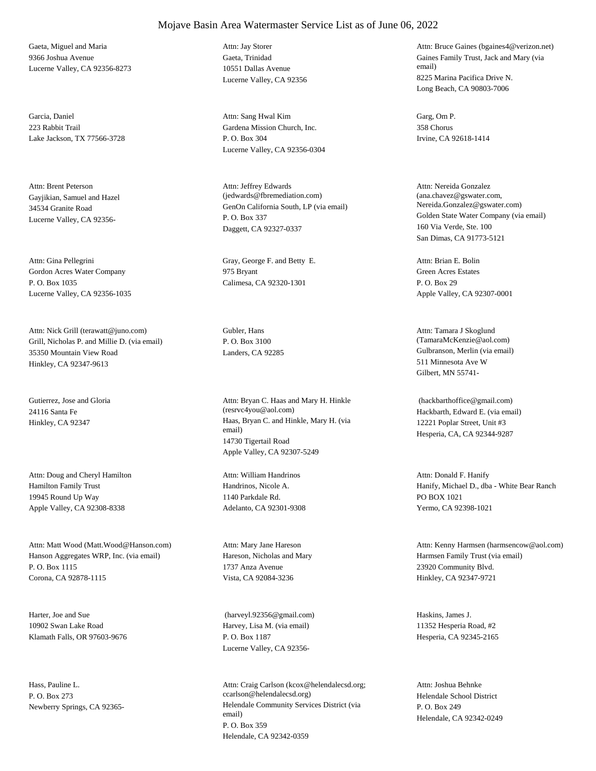Gaeta, Miguel and Maria 9366 Joshua Avenue Lucerne Valley, CA 92356-8273

Garcia, Daniel 223 Rabbit Trail Lake Jackson, TX 77566-3728

Gayjikian, Samuel and Hazel 34534 Granite Road Lucerne Valley, CA 92356- Attn: Brent Peterson

Gordon Acres Water Company P. O. Box 1035 Lucerne Valley, CA 92356-1035

Grill, Nicholas P. and Millie D. (via email) 35350 Mountain View Road Hinkley, CA 92347-9613 Attn: Nick Grill (terawatt@juno.com) Gubler, Hans

Gutierrez, Jose and Gloria 24116 Santa Fe

Hamilton Family Trust 19945 Round Up Way Apple Valley, CA 92308-8338 Attn: Doug and Cheryl Hamilton

Hanson Aggregates WRP, Inc. (via email) P. O. Box 1115 Corona, CA 92878-1115 Attn: Matt Wood (Matt.Wood@Hanson.com)

Harter, Joe and Sue 10902 Swan Lake Road Klamath Falls, OR 97603-9676

Hass, Pauline L. P. O. Box 273

# Mojave Basin Area Watermaster Service List as of June 06, 2022

Gaeta, Trinidad 10551 Dallas Avenue Lucerne Valley, CA 92356 Attn: Jay Storer

Gardena Mission Church, Inc. P. O. Box 304 Lucerne Valley, CA 92356-0304 Attn: Sang Hwal Kim Garg, Om P.

GenOn California South, LP (via email) P. O. Box 337 Daggett, CA 92327-0337 Attn: Jeffrey Edwards (jedwards@fbremediation.com)

Attn: Gina Pellegrini Gray, George F. and Betty E. 975 Bryant Calimesa, CA 92320-1301

P. O. Box 3100

Hinkley, CA 92347 Haas, Bryan C. and Hinkle, Mary H. (via email) 14730 Tigertail Road Apple Valley, CA 92307-5249 Attn: Bryan C. Haas and Mary H. Hinkle (resrvc4you@aol.com) Hackbarth, Edward E. (via email)

> Handrinos, Nicole A. 1140 Parkdale Rd. Adelanto, CA 92301-9308 Attn: William Handrinos

Hareson, Nicholas and Mary 1737 Anza Avenue Vista, CA 92084-3236 Attn: Mary Jane Hareson

Harvey, Lisa M. (via email) P. O. Box 1187 Lucerne Valley, CA 92356- (harveyl.92356@gmail.com) Haskins, James J.

Newberry Springs, CA 92365- Helendale Community Services District (via email) P. O. Box 359 Helendale, CA 92342-0359 Attn: Craig Carlson (kcox@helendalecsd.org; ccarlson@helendalecsd.org) Helendale School District

Gaines Family Trust, Jack and Mary (via email) 8225 Marina Pacifica Drive N. Long Beach, CA 90803-7006 Attn: Bruce Gaines (bgaines4@verizon.net)

358 Chorus Irvine, CA 92618-1414

Golden State Water Company (via email) 160 Via Verde, Ste. 100 San Dimas, CA 91773-5121 Attn: Nereida Gonzalez (ana.chavez@gswater.com, Nereida.Gonzalez@gswater.com)

Green Acres Estates P. O. Box 29 Apple Valley, CA 92307-0001 Attn: Brian E. Bolin

Landers, CA 92285 Gulbranson, Merlin (via email) 511 Minnesota Ave W Gilbert, MN 55741- Attn: Tamara J Skoglund (TamaraMcKenzie@aol.com)

> 12221 Poplar Street, Unit #3 Hesperia, CA, CA 92344-9287 (hackbarthoffice@gmail.com)

Hanify, Michael D., dba - White Bear Ranch PO BOX 1021 Yermo, CA 92398-1021 Attn: Donald F. Hanify

Harmsen Family Trust (via email) 23920 Community Blvd. Hinkley, CA 92347-9721 Attn: Kenny Harmsen (harmsencow@aol.com)

11352 Hesperia Road, #2 Hesperia, CA 92345-2165

P. O. Box 249 Helendale, CA 92342-0249 Attn: Joshua Behnke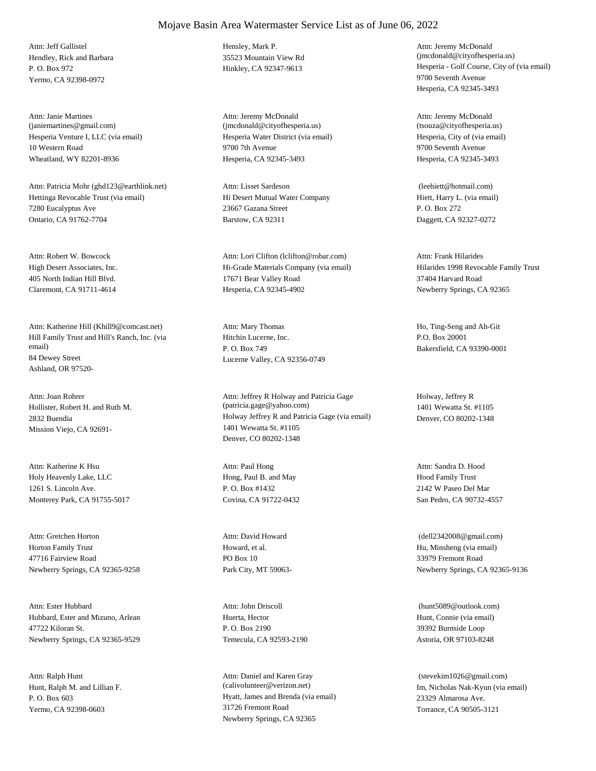Hendley, Rick and Barbara P. O. Box 972 Yermo, CA 92398-0972 Attn: Jeff Gallistel Hensley, Mark P.

Hesperia Venture I, LLC (via email) 10 Western Road Wheatland, WY 82201-8936 Attn: Janie Martines (janiemartines@gmail.com)

Hettinga Revocable Trust (via email) 7280 Eucalyptus Ave Ontario, CA 91762-7704 Attn: Patricia Mohr (ghd123@earthlink.net)

High Desert Associates, Inc. 405 North Indian Hill Blvd. Claremont, CA 91711-4614 Attn: Robert W. Bowcock

Hill Family Trust and Hill's Ranch, Inc. (via email) 84 Dewey Street Ashland, OR 97520- Attn: Katherine Hill (Khill9@comcast.net)

Hollister, Robert H. and Ruth M. 2832 Buendia Mission Viejo, CA 92691- Attn: Joan Rohrer

Holy Heavenly Lake, LLC 1261 S. Lincoln Ave. Monterey Park, CA 91755-5017 Attn: Katherine K Hsu

Horton Family Trust 47716 Fairview Road Newberry Springs, CA 92365-9258 Attn: Gretchen Horton

Hubbard, Ester and Mizuno, Arlean 47722 Kiloran St. Newberry Springs, CA 92365-9529 Attn: Ester Hubbard

Hunt, Ralph M. and Lillian F. P. O. Box 603 Yermo, CA 92398-0603 Attn: Ralph Hunt

35523 Mountain View Rd

Hesperia Water District (via email) 9700 7th Avenue Hesperia, CA 92345-3493 Attn: Jeremy McDonald (jmcdonald@cityofhesperia.us)

Hi Desert Mutual Water Company 23667 Gazana Street Barstow, CA 92311 Attn: Lisset Sardeson

Hi-Grade Materials Company (via email) 17671 Bear Valley Road Hesperia, CA 92345-4902 Attn: Lori Clifton (lclifton@robar.com)

Hitchin Lucerne, Inc. P. O. Box 749 Lucerne Valley, CA 92356-0749 Attn: Mary Thomas Ho, Ting-Seng and Ah-Git

Holway Jeffrey R and Patricia Gage (via email) 1401 Wewatta St. #1105 Denver, CO 80202-1348 Attn: Jeffrey R Holway and Patricia Gage (patricia.gage@yahoo.com)

Hong, Paul B. and May P. O. Box #1432 Covina, CA 91722-0432 Attn: Paul Hong

Howard, et al. PO Box 10 Park City, MT 59063- Attn: David Howard

Huerta, Hector P. O. Box 2190 Temecula, CA 92593-2190 Attn: John Driscoll

Hyatt, James and Brenda (via email) 31726 Fremont Road Newberry Springs, CA 92365 Attn: Daniel and Karen Gray (calivolunteer@verizon.net) Im, Nicholas Nak-Kyun (via email)

Hinkley, CA 92347-9613 Hesperia - Golf Course, City of (via email) 9700 Seventh Avenue Hesperia, CA 92345-3493 Attn: Jeremy McDonald (jmcdonald@cityofhesperia.us)

> Hesperia, City of (via email) 9700 Seventh Avenue Hesperia, CA 92345-3493 Attn: Jeremy McDonald (tsouza@cityofhesperia.us)

Hiett, Harry L. (via email) P. O. Box 272 Daggett, CA 92327-0272 (leehiett@hotmail.com)

Hilarides 1998 Revocable Family Trust 37404 Harvard Road Newberry Springs, CA 92365 Attn: Frank Hilarides

P.O. Box 20001 Bakersfield, CA 93390-0001

Holway, Jeffrey R 1401 Wewatta St. #1105 Denver, CO 80202-1348

Hood Family Trust 2142 W Paseo Del Mar San Pedro, CA 90732-4557 Attn: Sandra D. Hood

Hu, Minsheng (via email) 33979 Fremont Road Newberry Springs, CA 92365-9136 (dell2342008@gmail.com)

Hunt, Connie (via email) 39392 Burnside Loop Astoria, OR 97103-8248 (hunt5089@outlook.com)

23329 Almarosa Ave. Torrance, CA 90505-3121 (stevekim1026@gmail.com)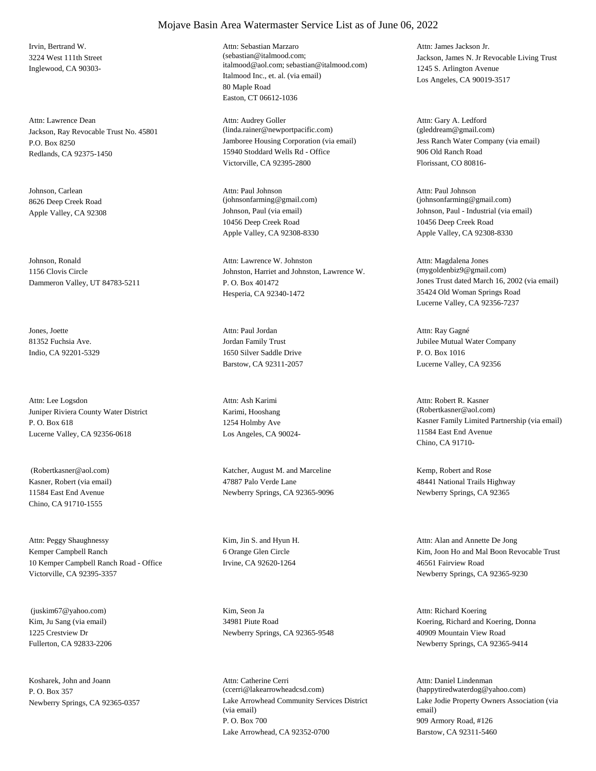Irvin, Bertrand W. 3224 West 111th Street Inglewood, CA 90303-

Jackson, Ray Revocable Trust No. 45801 P.O. Box 8250 Redlands, CA 92375-1450 Attn: Lawrence Dean

Johnson, Carlean 8626 Deep Creek Road

Johnson, Ronald 1156 Clovis Circle Dammeron Valley, UT 84783-5211

Jones, Joette 81352 Fuchsia Ave. Indio, CA 92201-5329

Juniper Riviera County Water District P. O. Box 618 Lucerne Valley, CA 92356-0618 Attn: Lee Logsdon

Kasner, Robert (via email) 11584 East End Avenue Chino, CA 91710-1555

Kemper Campbell Ranch 10 Kemper Campbell Ranch Road - Office Victorville, CA 92395-3357 Attn: Peggy Shaughnessy Kim, Jin S. and Hyun H.

Kim, Ju Sang (via email) 1225 Crestview Dr Fullerton, CA 92833-2206 (juskim67@yahoo.com) Kim, Seon Ja

Kosharek, John and Joann P. O. Box 357

#### Mojave Basin Area Watermaster Service List as of June 06, 2022

Italmood Inc., et. al. (via email) 80 Maple Road Easton, CT 06612-1036 Attn: Sebastian Marzaro (sebastian@italmood.com; italmood@aol.com; sebastian@italmood.com)

Jamboree Housing Corporation (via email) 15940 Stoddard Wells Rd - Office Victorville, CA 92395-2800 Attn: Audrey Goller (linda.rainer@newportpacific.com)

Apple Valley, CA 92308 Johnson, Paul (via email) 10456 Deep Creek Road Apple Valley, CA 92308-8330 Attn: Paul Johnson (johnsonfarming@gmail.com)

> Johnston, Harriet and Johnston, Lawrence W. P. O. Box 401472 Hesperia, CA 92340-1472 Attn: Lawrence W. Johnston

Jordan Family Trust 1650 Silver Saddle Drive Barstow, CA 92311-2057 Attn: Paul Jordan

Karimi, Hooshang 1254 Holmby Ave Los Angeles, CA 90024- Attn: Ash Karimi

 (Robertkasner@aol.com) Katcher, August M. and Marceline 47887 Palo Verde Lane Newberry Springs, CA 92365-9096

> 6 Orange Glen Circle Irvine, CA 92620-1264

34981 Piute Road Newberry Springs, CA 92365-9548

Newberry Springs, CA 92365-0357 Lake Arrowhead Community Services District (via email) P. O. Box 700 Lake Arrowhead, CA 92352-0700 Attn: Catherine Cerri (ccerri@lakearrowheadcsd.com)

Jackson, James N. Jr Revocable Living Trust 1245 S. Arlington Avenue Los Angeles, CA 90019-3517 Attn: James Jackson Jr.

Jess Ranch Water Company (via email) 906 Old Ranch Road Florissant, CO 80816- Attn: Gary A. Ledford (gleddream@gmail.com)

Johnson, Paul - Industrial (via email) 10456 Deep Creek Road Apple Valley, CA 92308-8330 Attn: Paul Johnson (johnsonfarming@gmail.com)

Jones Trust dated March 16, 2002 (via email) 35424 Old Woman Springs Road Lucerne Valley, CA 92356-7237 Attn: Magdalena Jones (mygoldenbiz9@gmail.com)

Jubilee Mutual Water Company P. O. Box 1016 Lucerne Valley, CA 92356 Attn: Ray Gagné

Kasner Family Limited Partnership (via email) 11584 East End Avenue Chino, CA 91710- Attn: Robert R. Kasner (Robertkasner@aol.com)

Kemp, Robert and Rose 48441 National Trails Highway Newberry Springs, CA 92365

Kim, Joon Ho and Mal Boon Revocable Trust 46561 Fairview Road Newberry Springs, CA 92365-9230 Attn: Alan and Annette De Jong

Koering, Richard and Koering, Donna 40909 Mountain View Road Newberry Springs, CA 92365-9414 Attn: Richard Koering

Lake Jodie Property Owners Association (via email) 909 Armory Road, #126 Barstow, CA 92311-5460 Attn: Daniel Lindenman (happytiredwaterdog@yahoo.com)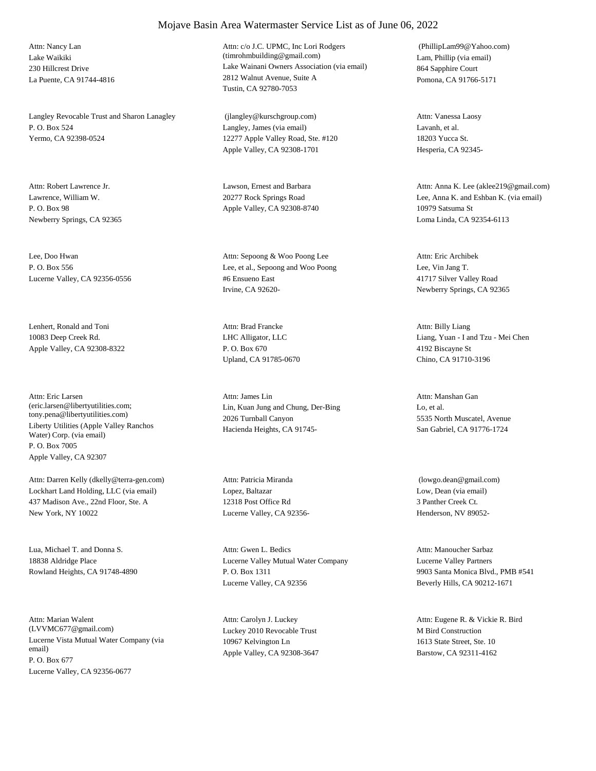Lake Waikiki 230 Hillcrest Drive La Puente, CA 91744-4816 Attn: Nancy Lan

Langley Revocable Trust and Sharon Lanagley P. O. Box 524 Yermo, CA 92398-0524

Lawrence, William W. P. O. Box 98 Newberry Springs, CA 92365

Lee, Doo Hwan P. O. Box 556 Lucerne Valley, CA 92356-0556

Lenhert, Ronald and Toni 10083 Deep Creek Rd. Apple Valley, CA 92308-8322

Liberty Utilities (Apple Valley Ranchos Water) Corp. (via email) P. O. Box 7005 Apple Valley, CA 92307 Attn: Eric Larsen (eric.larsen@libertyutilities.com; tony.pena@libertyutilities.com)

Lockhart Land Holding, LLC (via email) 437 Madison Ave., 22nd Floor, Ste. A New York, NY 10022 Attn: Darren Kelly (dkelly@terra-gen.com)

Lua, Michael T. and Donna S. 18838 Aldridge Place Rowland Heights, CA 91748-4890

Lucerne Vista Mutual Water Company (via email) P. O. Box 677 Lucerne Valley, CA 92356-0677 Attn: Marian Walent (LVVMC677@gmail.com) Luckey 2010 Revocable Trust

#### Lake Wainani Owners Association (via email) 2812 Walnut Avenue, Suite A Tustin, CA 92780-7053 Attn: c/o J.C. UPMC, Inc Lori Rodgers (timrohmbuilding@gmail.com) Lam, Phillip (via email)

Langley, James (via email) 12277 Apple Valley Road, Ste. #120 Apple Valley, CA 92308-1701 (jlangley@kurschgroup.com)

Attn: Robert Lawrence Jr. Lawson, Ernest and Barbara 20277 Rock Springs Road Apple Valley, CA 92308-8740

> Lee, et al., Sepoong and Woo Poong #6 Ensueno East Irvine, CA 92620- Attn: Sepoong & Woo Poong Lee

LHC Alligator, LLC P. O. Box 670 Upland, CA 91785-0670 Attn: Brad Francke

Lin, Kuan Jung and Chung, Der-Bing 2026 Turnball Canyon Hacienda Heights, CA 91745- Attn: James Lin

Lopez, Baltazar 12318 Post Office Rd Lucerne Valley, CA 92356- Attn: Patricia Miranda

Lucerne Valley Mutual Water Company P. O. Box 1311 Lucerne Valley, CA 92356 Attn: Gwen L. Bedics

10967 Kelvington Ln Apple Valley, CA 92308-3647 Attn: Carolyn J. Luckey

864 Sapphire Court Pomona, CA 91766-5171 (PhillipLam99@Yahoo.com)

Lavanh, et al. 18203 Yucca St. Hesperia, CA 92345- Attn: Vanessa Laosy

Lee, Anna K. and Eshban K. (via email) 10979 Satsuma St Loma Linda, CA 92354-6113 Attn: Anna K. Lee (aklee219@gmail.com)

Lee, Vin Jang T. 41717 Silver Valley Road Newberry Springs, CA 92365 Attn: Eric Archibek

Liang, Yuan - I and Tzu - Mei Chen 4192 Biscayne St Chino, CA 91710-3196 Attn: Billy Liang

Lo, et al. 5535 North Muscatel, Avenue San Gabriel, CA 91776-1724 Attn: Manshan Gan

Low, Dean (via email) 3 Panther Creek Ct. Henderson, NV 89052- (lowgo.dean@gmail.com)

Lucerne Valley Partners 9903 Santa Monica Blvd., PMB #541 Beverly Hills, CA 90212-1671 Attn: Manoucher Sarbaz

M Bird Construction 1613 State Street, Ste. 10 Barstow, CA 92311-4162 Attn: Eugene R. & Vickie R. Bird

### Mojave Basin Area Watermaster Service List as of June 06, 2022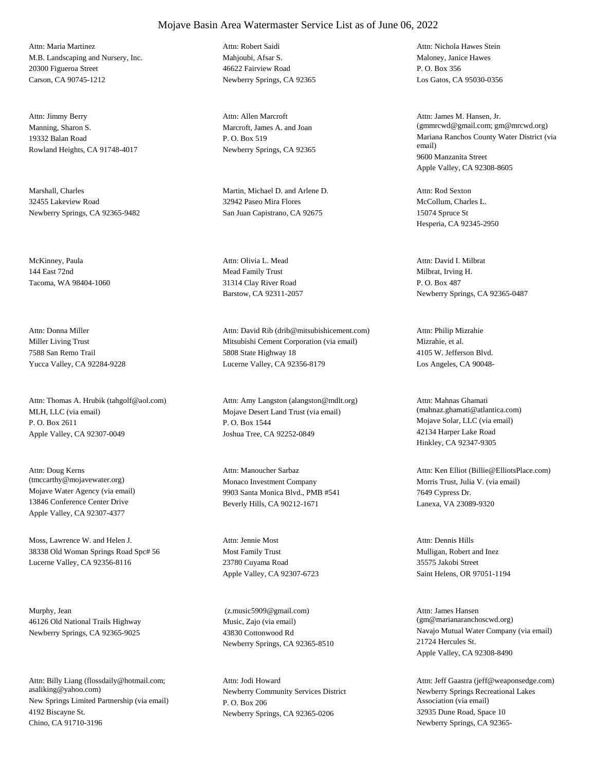M.B. Landscaping and Nursery, Inc. 20300 Figueroa Street Carson, CA 90745-1212 Attn: Maria Martinez

Manning, Sharon S. 19332 Balan Road Rowland Heights, CA 91748-4017 Attn: Jimmy Berry

Marshall, Charles 32455 Lakeview Road Newberry Springs, CA 92365-9482

McKinney, Paula 144 East 72nd Tacoma, WA 98404-1060

Miller Living Trust 7588 San Remo Trail Yucca Valley, CA 92284-9228 Attn: Donna Miller

MLH, LLC (via email) P. O. Box 2611 Apple Valley, CA 92307-0049 Attn: Thomas A. Hrubik (tahgolf@aol.com)

Mojave Water Agency (via email) 13846 Conference Center Drive Apple Valley, CA 92307-4377 Attn: Doug Kerns (tmccarthy@mojavewater.org) Monaco Investment Company

Moss, Lawrence W. and Helen J. 38338 Old Woman Springs Road Spc# 56 Lucerne Valley, CA 92356-8116

Murphy, Jean 46126 Old National Trails Highway Newberry Springs, CA 92365-9025

New Springs Limited Partnership (via email) 4192 Biscayne St. Chino, CA 91710-3196 Attn: Billy Liang (flossdaily@hotmail.com; asaliking@yahoo.com) Newberry Community Services District

Mahioubi, Afsar S. 46622 Fairview Road Newberry Springs, CA 92365 Attn: Robert Saidi

Marcroft, James A. and Joan P. O. Box 519 Newberry Springs, CA 92365 Attn: Allen Marcroft

Martin, Michael D. and Arlene D. 32942 Paseo Mira Flores San Juan Capistrano, CA 92675

Mead Family Trust 31314 Clay River Road Barstow, CA 92311-2057 Attn: Olivia L. Mead

Mitsubishi Cement Corporation (via email) 5808 State Highway 18 Lucerne Valley, CA 92356-8179 Attn: David Rib (drib@mitsubishicement.com)

Mojave Desert Land Trust (via email) P. O. Box 1544 Joshua Tree, CA 92252-0849 Attn: Amy Langston (alangston@mdlt.org)

9903 Santa Monica Blvd., PMB #541 Beverly Hills, CA 90212-1671 Attn: Manoucher Sarbaz

Most Family Trust 23780 Cuyama Road Apple Valley, CA 92307-6723 Attn: Jennie Most

Music, Zajo (via email) 43830 Cottonwood Rd Newberry Springs, CA 92365-8510 (z.music5909@gmail.com)

P. O. Box 206 Newberry Springs, CA 92365-0206 Attn: Jodi Howard

Maloney, Janice Hawes P. O. Box 356 Los Gatos, CA 95030-0356 Attn: Nichola Hawes Stein

Mariana Ranchos County Water District (via email) 9600 Manzanita Street Apple Valley, CA 92308-8605 Attn: James M. Hansen, Jr. (gmmrcwd@gmail.com; gm@mrcwd.org)

McCollum, Charles L. 15074 Spruce St Hesperia, CA 92345-2950 Attn: Rod Sexton

Milbrat, Irving H. P. O. Box 487 Newberry Springs, CA 92365-0487 Attn: David I. Milbrat

Mizrahie, et al. 4105 W. Jefferson Blvd. Los Angeles, CA 90048- Attn: Philip Mizrahie

Mojave Solar, LLC (via email) 42134 Harper Lake Road Hinkley, CA 92347-9305 Attn: Mahnas Ghamati (mahnaz.ghamati@atlantica.com)

Morris Trust, Julia V. (via email) 7649 Cypress Dr. Lanexa, VA 23089-9320 Attn: Ken Elliot (Billie@ElliotsPlace.com)

Mulligan, Robert and Inez 35575 Jakobi Street Saint Helens, OR 97051-1194 Attn: Dennis Hills

Navajo Mutual Water Company (via email) 21724 Hercules St. Apple Valley, CA 92308-8490 Attn: James Hansen (gm@marianaranchoscwd.org)

Newberry Springs Recreational Lakes Association (via email) 32935 Dune Road, Space 10 Newberry Springs, CA 92365- Attn: Jeff Gaastra (jeff@weaponsedge.com)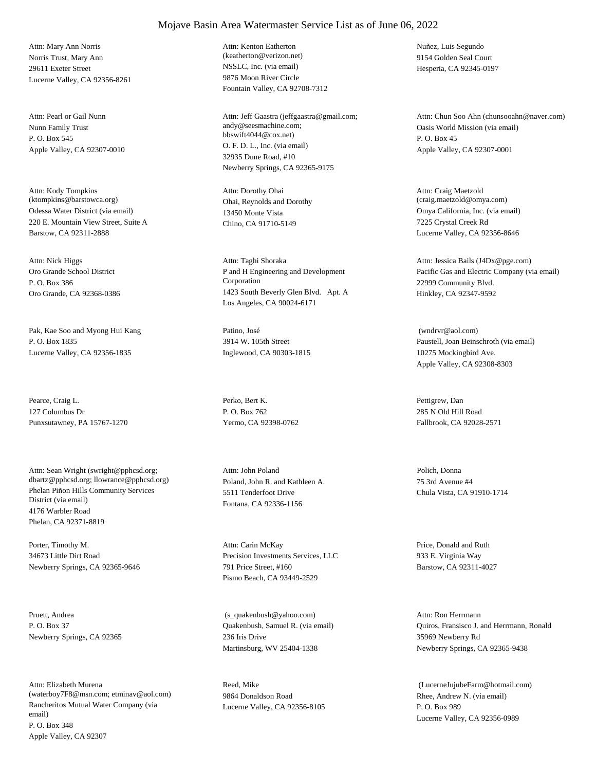Norris Trust, Mary Ann 29611 Exeter Street Lucerne Valley, CA 92356-8261 Attn: Mary Ann Norris

Nunn Family Trust P. O. Box 545 Apple Valley, CA 92307-0010 Attn: Pearl or Gail Nunn

Odessa Water District (via email) 220 E. Mountain View Street, Suite A Barstow, CA 92311-2888 Attn: Kody Tompkins (ktompkins@barstowca.org) Ohai, Reynolds and Dorothy

Oro Grande School District P. O. Box 386 Oro Grande, CA 92368-0386 Attn: Nick Higgs

Pak, Kae Soo and Myong Hui Kang P. O. Box 1835 Lucerne Valley, CA 92356-1835

Pearce, Craig L. 127 Columbus Dr Punxsutawney, PA 15767-1270

Phelan Piñon Hills Community Services District (via email) 4176 Warbler Road Phelan, CA 92371-8819 Attn: Sean Wright (swright@pphcsd.org; dbartz@pphcsd.org; llowrance@pphcsd.org) Poland, John R. and Kathleen A.

Porter, Timothy M. 34673 Little Dirt Road Newberry Springs, CA 92365-9646

Pruett, Andrea P. O. Box 37 Newberry Springs, CA 92365

Rancheritos Mutual Water Company (via email) P. O. Box 348 Apple Valley, CA 92307 Attn: Elizabeth Murena (waterboy7F8@msn.com; etminav@aol.com) NSSLC, Inc. (via email) 9876 Moon River Circle Fountain Valley, CA 92708-7312 Attn: Kenton Eatherton (keatherton@verizon.net)

O. F. D. L., Inc. (via email) 32935 Dune Road, #10 Newberry Springs, CA 92365-9175 Attn: Jeff Gaastra (jeffgaastra@gmail.com; andy@seesmachine.com; bbswift4044@cox.net)

13450 Monte Vista Chino, CA 91710-5149 Attn: Dorothy Ohai

P and H Engineering and Development Corporation 1423 South Beverly Glen Blvd. Apt. A Los Angeles, CA 90024-6171 Attn: Taghi Shoraka

Patino, José 3914 W. 105th Street Inglewood, CA 90303-1815

Perko, Bert K. P. O. Box 762 Yermo, CA 92398-0762

5511 Tenderfoot Drive Fontana, CA 92336-1156 Attn: John Poland Polich, Donna

Precision Investments Services, LLC 791 Price Street, #160 Pismo Beach, CA 93449-2529 Attn: Carin McKay Price, Donald and Ruth

Quakenbush, Samuel R. (via email) 236 Iris Drive Martinsburg, WV 25404-1338 (s\_quakenbush@yahoo.com)

Reed, Mike 9864 Donaldson Road Lucerne Valley, CA 92356-8105 Nuñez, Luis Segundo 9154 Golden Seal Court Hesperia, CA 92345-0197

Oasis World Mission (via email) P. O. Box 45 Apple Valley, CA 92307-0001 Attn: Chun Soo Ahn (chunsooahn@naver.com)

Omya California, Inc. (via email) 7225 Crystal Creek Rd Lucerne Valley, CA 92356-8646 Attn: Craig Maetzold (craig.maetzold@omya.com)

Pacific Gas and Electric Company (via email) 22999 Community Blvd. Hinkley, CA 92347-9592 Attn: Jessica Bails (J4Dx@pge.com)

Paustell, Joan Beinschroth (via email) 10275 Mockingbird Ave. Apple Valley, CA 92308-8303 (wndrvr@aol.com)

Pettigrew, Dan 285 N Old Hill Road Fallbrook, CA 92028-2571

75 3rd Avenue #4 Chula Vista, CA 91910-1714

933 E. Virginia Way Barstow, CA 92311-4027

Quiros, Fransisco J. and Herrmann, Ronald 35969 Newberry Rd Newberry Springs, CA 92365-9438 Attn: Ron Herrmann

Rhee, Andrew N. (via email) P. O. Box 989 Lucerne Valley, CA 92356-0989 (LucerneJujubeFarm@hotmail.com)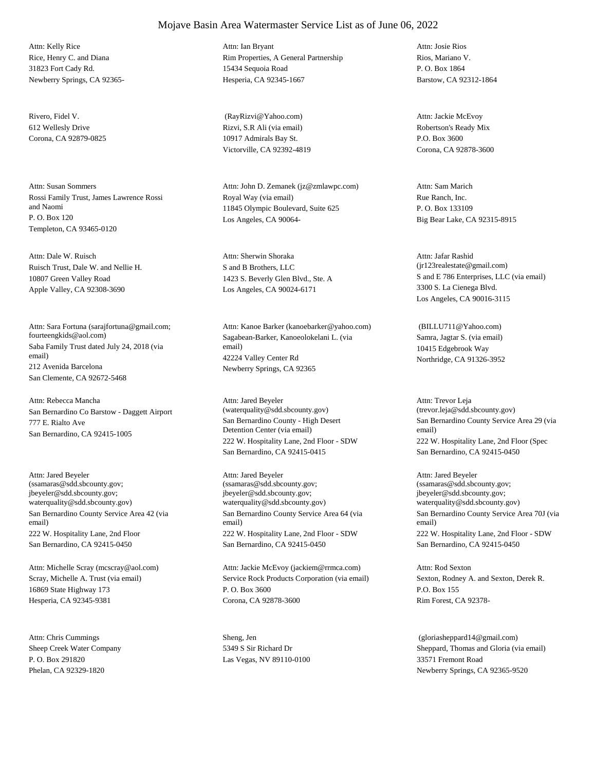Rice, Henry C. and Diana 31823 Fort Cady Rd. Newberry Springs, CA 92365- Attn: Kelly Rice

Rivero, Fidel V. 612 Wellesly Drive Corona, CA 92879-0825

Rossi Family Trust, James Lawrence Rossi and Naomi P. O. Box 120 Templeton, CA 93465-0120 Attn: Susan Sommers

Ruisch Trust, Dale W. and Nellie H. 10807 Green Valley Road Apple Valley, CA 92308-3690 Attn: Dale W. Ruisch

Saba Family Trust dated July 24, 2018 (via email) 212 Avenida Barcelona San Clemente, CA 92672-5468 Attn: Sara Fortuna (sarajfortuna@gmail.com; fourteengkids@aol.com) Sagabean-Barker, Kanoeolokelani L. (via

San Bernardino Co Barstow - Daggett Airport 777 E. Rialto Ave San Bernardino, CA 92415-1005 Attn: Rebecca Mancha

San Bernardino County Service Area 42 (via email) 222 W. Hospitality Lane, 2nd Floor San Bernardino, CA 92415-0450 Attn: Jared Beyeler (ssamaras@sdd.sbcounty.gov; jbeyeler@sdd.sbcounty.gov; waterquality@sdd.sbcounty.gov)

Scray, Michelle A. Trust (via email) 16869 State Highway 173 Hesperia, CA 92345-9381 Attn: Michelle Scray (mcscray@aol.com)

Sheep Creek Water Company P. O. Box 291820 Phelan, CA 92329-1820 Attn: Chris Cummings Sheng, Jen

### Mojave Basin Area Watermaster Service List as of June 06, 2022

Rim Properties, A General Partnership 15434 Sequoia Road Hesperia, CA 92345-1667 Attn: Ian Bryant

Rizvi, S.R Ali (via email) 10917 Admirals Bay St. Victorville, CA 92392-4819 (RayRizvi@Yahoo.com)

Royal Way (via email) 11845 Olympic Boulevard, Suite 625 Los Angeles, CA 90064- Attn: John D. Zemanek (jz@zmlawpc.com)

S and B Brothers, LLC 1423 S. Beverly Glen Blvd., Ste. A Los Angeles, CA 90024-6171 Attn: Sherwin Shoraka

email) 42224 Valley Center Rd Newberry Springs, CA 92365 Attn: Kanoe Barker (kanoebarker@yahoo.com)

San Bernardino County - High Desert Detention Center (via email) 222 W. Hospitality Lane, 2nd Floor - SDW San Bernardino, CA 92415-0415 Attn: Jared Beyeler (waterquality@sdd.sbcounty.gov)

San Bernardino County Service Area 64 (via email) 222 W. Hospitality Lane, 2nd Floor - SDW San Bernardino, CA 92415-0450 Attn: Jared Beyeler (ssamaras@sdd.sbcounty.gov; jbeyeler@sdd.sbcounty.gov; waterquality@sdd.sbcounty.gov)

Service Rock Products Corporation (via email) P. O. Box 3600 Corona, CA 92878-3600 Attn: Jackie McEvoy (jackiem@rrmca.com)

5349 S Sir Richard Dr Las Vegas, NV 89110-0100 Rios, Mariano V. P. O. Box 1864 Barstow, CA 92312-1864 Attn: Josie Rios

Robertson's Ready Mix P.O. Box 3600 Corona, CA 92878-3600 Attn: Jackie McEvoy

Rue Ranch, Inc. P. O. Box 133109 Big Bear Lake, CA 92315-8915 Attn: Sam Marich

S and E 786 Enterprises, LLC (via email) 3300 S. La Cienega Blvd. Los Angeles, CA 90016-3115 Attn: Jafar Rashid (jr123realestate@gmail.com)

Samra, Jagtar S. (via email) 10415 Edgebrook Way Northridge, CA 91326-3952 (BILLU711@Yahoo.com)

San Bernardino County Service Area 29 (via email) 222 W. Hospitality Lane, 2nd Floor (Spec San Bernardino, CA 92415-0450 Attn: Trevor Leja (trevor.leja@sdd.sbcounty.gov)

San Bernardino County Service Area 70J (via email) 222 W. Hospitality Lane, 2nd Floor - SDW San Bernardino, CA 92415-0450 Attn: Jared Beyeler (ssamaras@sdd.sbcounty.gov; jbeyeler@sdd.sbcounty.gov; waterquality@sdd.sbcounty.gov)

Sexton, Rodney A. and Sexton, Derek R. P.O. Box 155 Rim Forest, CA 92378- Attn: Rod Sexton

Sheppard, Thomas and Gloria (via email) 33571 Fremont Road Newberry Springs, CA 92365-9520 (gloriasheppard14@gmail.com)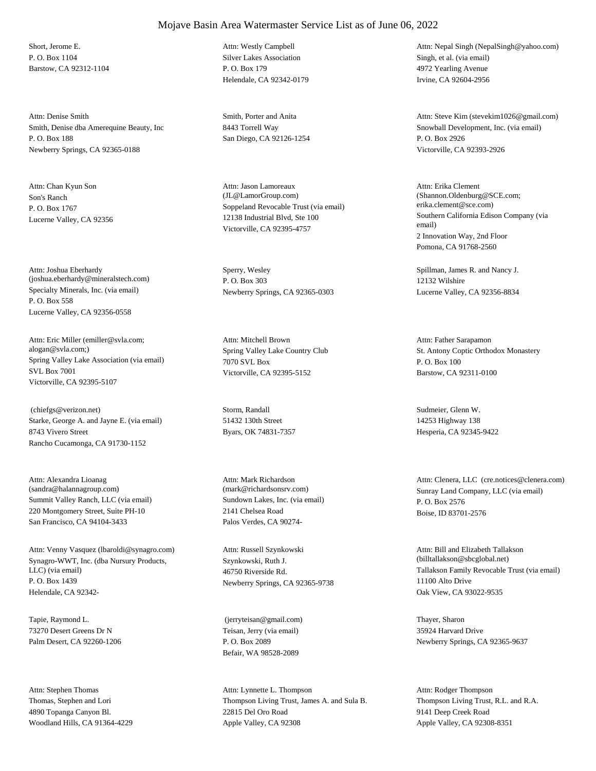Short, Jerome E. P. O. Box 1104 Barstow, CA 92312-1104

Smith, Denise dba Amerequine Beauty, Inc P. O. Box 188 Newberry Springs, CA 92365-0188 Attn: Denise Smith Smith Smith, Porter and Anita

Son's Ranch P. O. Box 1767 Lucerne Valley, CA 92356 Attn: Chan Kyun Son

Specialty Minerals, Inc. (via email) P. O. Box 558 Lucerne Valley, CA 92356-0558 Attn: Joshua Eberhardy (joshua.eberhardy@mineralstech.com)

Spring Valley Lake Association (via email) SVL Box 7001 Victorville, CA 92395-5107 Attn: Eric Miller (emiller@svla.com; alogan@svla.com;) Spring Valley Lake Country Club

Starke, George A. and Jayne E. (via email) 8743 Vivero Street Rancho Cucamonga, CA 91730-1152 (chiefgs@verizon.net) Storm, Randall

Summit Valley Ranch, LLC (via email) 220 Montgomery Street, Suite PH-10 San Francisco, CA 94104-3433 Attn: Alexandra Lioanag (sandra@halannagroup.com)

Synagro-WWT, Inc. (dba Nursury Products, LLC) (via email) P. O. Box 1439 Helendale, CA 92342- Attn: Venny Vasquez (lbaroldi@synagro.com)

Tapie, Raymond L. 73270 Desert Greens Dr N Palm Desert, CA 92260-1206

Thomas, Stephen and Lori 4890 Topanga Canyon Bl. Woodland Hills, CA 91364-4229 Attn: Stephen Thomas

### Mojave Basin Area Watermaster Service List as of June 06, 2022

Silver Lakes Association P. O. Box 179 Helendale, CA 92342-0179 Attn: Westly Campbell

8443 Torrell Way San Diego, CA 92126-1254

Soppeland Revocable Trust (via email) 12138 Industrial Blvd, Ste 100 Victorville, CA 92395-4757 Attn: Jason Lamoreaux (JL@LamorGroup.com)

Sperry, Wesley P. O. Box 303 Newberry Springs, CA 92365-0303

7070 SVL Box Victorville, CA 92395-5152 Attn: Mitchell Brown

51432 130th Street Byars, OK 74831-7357

Sundown Lakes, Inc. (via email) 2141 Chelsea Road Palos Verdes, CA 90274- Attn: Mark Richardson

Szynkowski, Ruth J. 46750 Riverside Rd. Newberry Springs, CA 92365-9738 Attn: Russell Szynkowski

Teisan, Jerry (via email) P. O. Box 2089 Befair, WA 98528-2089 (jerryteisan@gmail.com) Thayer, Sharon

Thompson Living Trust, James A. and Sula B. 22815 Del Oro Road Apple Valley, CA 92308 Attn: Lynnette L. Thompson

Singh, et al. (via email) 4972 Yearling Avenue Irvine, CA 92604-2956 Attn: Nepal Singh (NepalSingh@yahoo.com)

Snowball Development, Inc. (via email) P. O. Box 2926 Victorville, CA 92393-2926 Attn: Steve Kim (stevekim1026@gmail.com)

Southern California Edison Company (via email) 2 Innovation Way, 2nd Floor Pomona, CA 91768-2560 Attn: Erika Clement (Shannon.Oldenburg@SCE.com; erika.clement@sce.com)

Spillman, James R. and Nancy J. 12132 Wilshire Lucerne Valley, CA 92356-8834

St. Antony Coptic Orthodox Monastery P. O. Box 100 Barstow, CA 92311-0100 Attn: Father Sarapamon

Sudmeier, Glenn W. 14253 Highway 138 Hesperia, CA 92345-9422

(mark@richardsonsrv.com) Sunray Land Company, LLC (via email) P. O. Box 2576 Boise, ID 83701-2576 Attn: Clenera, LLC (cre.notices@clenera.com)

> Tallakson Family Revocable Trust (via email) 11100 Alto Drive Oak View, CA 93022-9535 Attn: Bill and Elizabeth Tallakson (billtallakson@sbcglobal.net)

35924 Harvard Drive Newberry Springs, CA 92365-9637

Thompson Living Trust, R.L. and R.A. 9141 Deep Creek Road Apple Valley, CA 92308-8351 Attn: Rodger Thompson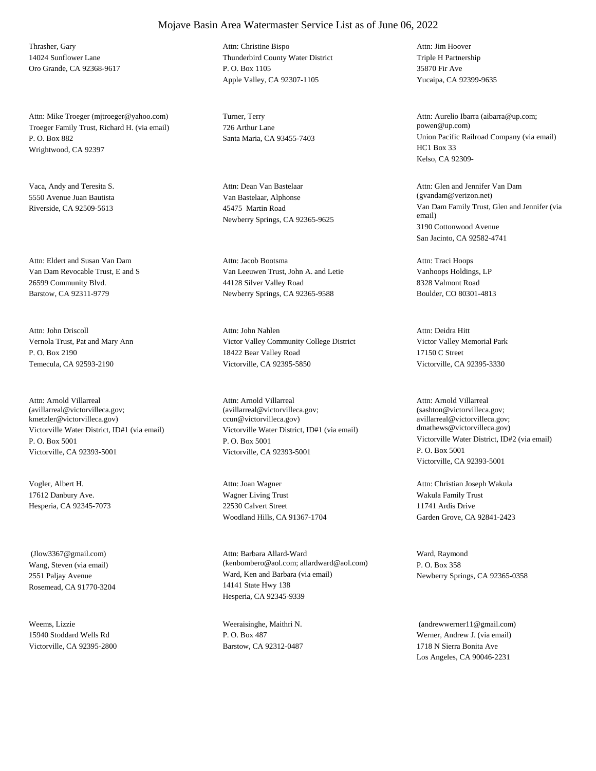Thrasher, Gary 14024 Sunflower Lane Oro Grande, CA 92368-9617

Troeger Family Trust, Richard H. (via email) P. O. Box 882 Wrightwood, CA 92397 Attn: Mike Troeger (mjtroeger@yahoo.com) Turner, Terry

Vaca, Andy and Teresita S. 5550 Avenue Juan Bautista Riverside, CA 92509-5613

Van Dam Revocable Trust, E and S 26599 Community Blvd. Barstow, CA 92311-9779 Attn: Eldert and Susan Van Dam

Vernola Trust, Pat and Mary Ann P. O. Box 2190 Temecula, CA 92593-2190 Attn: John Driscoll

Victorville Water District, ID#1 (via email) P. O. Box 5001 Victorville, CA 92393-5001 Attn: Arnold Villarreal (avillarreal@victorvilleca.gov; kmetzler@victorvilleca.gov)

Vogler, Albert H. 17612 Danbury Ave. Hesperia, CA 92345-7073

Wang, Steven (via email) 2551 Paljay Avenue Rosemead, CA 91770-3204 (Jlow3367@gmail.com)

Weems, Lizzie 15940 Stoddard Wells Rd Victorville, CA 92395-2800

### Mojave Basin Area Watermaster Service List as of June 06, 2022

Thunderbird County Water District P. O. Box 1105 Apple Valley, CA 92307-1105 Attn: Christine Bispo

726 Arthur Lane

Van Bastelaar, Alphonse 45475 Martin Road Newberry Springs, CA 92365-9625 Attn: Dean Van Bastelaar

Van Leeuwen Trust, John A. and Letie 44128 Silver Valley Road Newberry Springs, CA 92365-9588 Attn: Jacob Bootsma

Victor Valley Community College District 18422 Bear Valley Road Victorville, CA 92395-5850 Attn: John Nahlen

Victorville Water District, ID#1 (via email) P. O. Box 5001 Victorville, CA 92393-5001 Attn: Arnold Villarreal (avillarreal@victorvilleca.gov; ccun@victorvilleca.gov)

Wagner Living Trust 22530 Calvert Street Woodland Hills, CA 91367-1704 Attn: Joan Wagner

Ward, Ken and Barbara (via email) 14141 State Hwy 138 Hesperia, CA 92345-9339 Attn: Barbara Allard-Ward (kenbombero@aol.com; allardward@aol.com)

Weeraisinghe, Maithri N. P. O. Box 487 Barstow, CA 92312-0487 Triple H Partnership 35870 Fir Ave Yucaipa, CA 92399-9635 Attn: Jim Hoover

Santa Maria, CA 93455-7403 Union Pacific Railroad Company (via email) HC1 Box 33 Kelso, CA 92309- Attn: Aurelio Ibarra (aibarra@up.com; powen@up.com)

> Van Dam Family Trust, Glen and Jennifer (via email) 3190 Cottonwood Avenue San Jacinto, CA 92582-4741 Attn: Glen and Jennifer Van Dam (gvandam@verizon.net)

Vanhoops Holdings, LP 8328 Valmont Road Boulder, CO 80301-4813 Attn: Traci Hoops

Victor Valley Memorial Park 17150 C Street Victorville, CA 92395-3330 Attn: Deidra Hitt

Victorville Water District, ID#2 (via email) P. O. Box 5001 Victorville, CA 92393-5001 Attn: Arnold Villarreal (sashton@victorvilleca.gov; avillarreal@victorvilleca.gov; dmathews@victorvilleca.gov)

Wakula Family Trust 11741 Ardis Drive Garden Grove, CA 92841-2423 Attn: Christian Joseph Wakula

Ward, Raymond P. O. Box 358 Newberry Springs, CA 92365-0358

Werner, Andrew J. (via email) 1718 N Sierra Bonita Ave Los Angeles, CA 90046-2231 (andrewwerner11@gmail.com)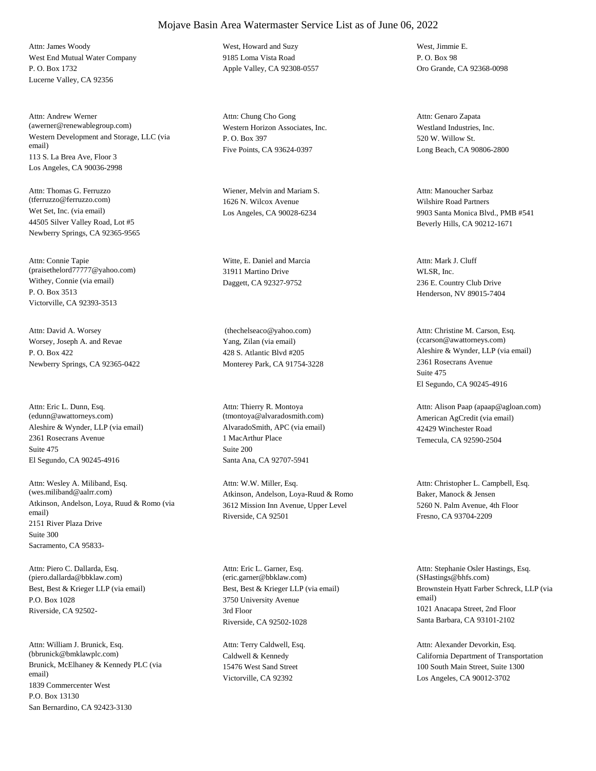West End Mutual Water Company P. O. Box 1732 Lucerne Valley, CA 92356 Attn: James Woody West, Howard and Suzy

Western Development and Storage, LLC (via email) 113 S. La Brea Ave, Floor 3 Los Angeles, CA 90036-2998 Attn: Andrew Werner (awerner@renewablegroup.com) Western Horizon Associates, Inc.

Wet Set, Inc. (via email) 44505 Silver Valley Road, Lot #5 Newberry Springs, CA 92365-9565 Attn: Thomas G. Ferruzzo (tferruzzo@ferruzzo.com)

Withey, Connie (via email) P. O. Box 3513 Victorville, CA 92393-3513 Attn: Connie Tapie (praisethelord77777@yahoo.com)

Worsey, Joseph A. and Revae P. O. Box 422 Newberry Springs, CA 92365-0422 Attn: David A. Worsey

Aleshire & Wynder, LLP (via email) 2361 Rosecrans Avenue El Segundo, CA 90245-4916 Attn: Eric L. Dunn, Esq. (edunn@awattorneys.com) Suite 475

Atkinson, Andelson, Loya, Ruud & Romo (via email) 2151 River Plaza Drive Sacramento, CA 95833- Attn: Wesley A. Miliband, Esq. (wes.miliband@aalrr.com) Suite 300

Best, Best & Krieger LLP (via email) P.O. Box 1028 Riverside, CA 92502- Attn: Piero C. Dallarda, Esq. (piero.dallarda@bbklaw.com)

Brunick, McElhaney & Kennedy PLC (via email) 1839 Commercenter West San Bernardino, CA 92423-3130 Attn: William J. Brunick, Esq. (bbrunick@bmklawplc.com) P.O. Box 13130

9185 Loma Vista Road Apple Valley, CA 92308-0557

P. O. Box 397 Five Points, CA 93624-0397 Attn: Chung Cho Gong

Wiener, Melvin and Mariam S. 1626 N. Wilcox Avenue Los Angeles, CA 90028-6234

Witte, E. Daniel and Marcia 31911 Martino Drive Daggett, CA 92327-9752

Yang, Zilan (via email) 428 S. Atlantic Blvd #205 Monterey Park, CA 91754-3228 (thechelseaco@yahoo.com)

AlvaradoSmith, APC (via email) 1 MacArthur Place Santa Ana, CA 92707-5941 Attn: Thierry R. Montoya (tmontoya@alvaradosmith.com) Suite 200

Atkinson, Andelson, Loya-Ruud & Romo 3612 Mission Inn Avenue, Upper Level Riverside, CA 92501 Attn: W.W. Miller, Esq.

Best, Best & Krieger LLP (via email) 3750 University Avenue Riverside, CA 92502-1028 Attn: Eric L. Garner, Esq. (eric.garner@bbklaw.com) 3rd Floor

Caldwell & Kennedy 15476 West Sand Street Victorville, CA 92392 Attn: Terry Caldwell, Esq.

West, Jimmie E. P. O. Box 98 Oro Grande, CA 92368-0098

Westland Industries, Inc. 520 W. Willow St. Long Beach, CA 90806-2800 Attn: Genaro Zapata

Wilshire Road Partners 9903 Santa Monica Blvd., PMB #541 Beverly Hills, CA 90212-1671 Attn: Manoucher Sarbaz

WLSR, Inc. 236 E. Country Club Drive Henderson, NV 89015-7404 Attn: Mark J. Cluff

Aleshire & Wynder, LLP (via email) 2361 Rosecrans Avenue El Segundo, CA 90245-4916 Attn: Christine M. Carson, Esq. (ccarson@awattorneys.com) Suite 475

American AgCredit (via email) 42429 Winchester Road Temecula, CA 92590-2504 Attn: Alison Paap (apaap@agloan.com)

Baker, Manock & Jensen 5260 N. Palm Avenue, 4th Floor Fresno, CA 93704-2209 Attn: Christopher L. Campbell, Esq.

Brownstein Hyatt Farber Schreck, LLP (via email) 1021 Anacapa Street, 2nd Floor Santa Barbara, CA 93101-2102 Attn: Stephanie Osler Hastings, Esq. (SHastings@bhfs.com)

California Department of Transportation 100 South Main Street, Suite 1300 Los Angeles, CA 90012-3702 Attn: Alexander Devorkin, Esq.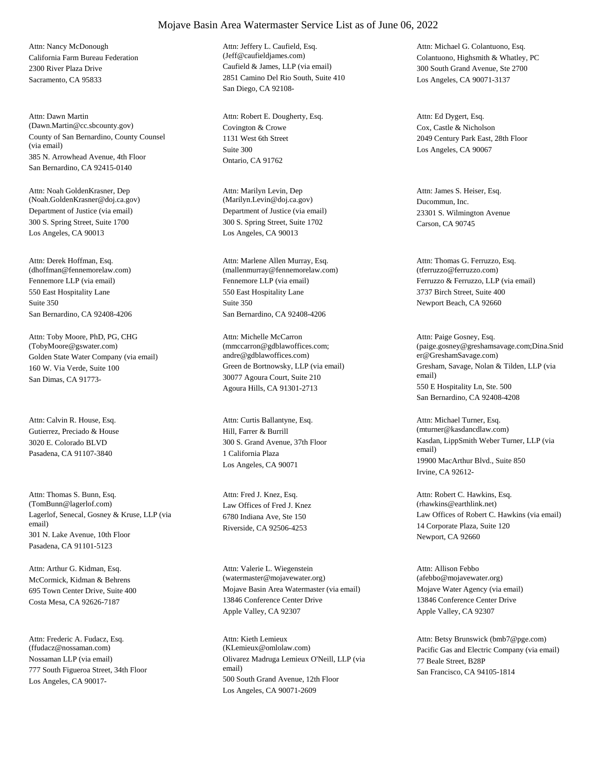California Farm Bureau Federation 2300 River Plaza Drive Sacramento, CA 95833 Attn: Nancy McDonough

County of San Bernardino, County Counsel (via email) 385 N. Arrowhead Avenue, 4th Floor San Bernardino, CA 92415-0140 Attn: Dawn Martin (Dawn.Martin@cc.sbcounty.gov) Covington & Crowe

Department of Justice (via email) 300 S. Spring Street, Suite 1700 Los Angeles, CA 90013 Attn: Noah GoldenKrasner, Dep (Noah.GoldenKrasner@doj.ca.gov)

Fennemore LLP (via email) 550 East Hospitality Lane San Bernardino, CA 92408-4206 Attn: Derek Hoffman, Esq. (dhoffman@fennemorelaw.com) Suite 350

Golden State Water Company (via email) 160 W. Via Verde, Suite 100 San Dimas, CA 91773- Attn: Toby Moore, PhD, PG, CHG (TobyMoore@gswater.com)

Gutierrez, Preciado & House 3020 E. Colorado BLVD Pasadena, CA 91107-3840 Attn: Calvin R. House, Esq.

Lagerlof, Senecal, Gosney & Kruse, LLP (via email) 301 N. Lake Avenue, 10th Floor Pasadena, CA 91101-5123 Attn: Thomas S. Bunn, Esq.<br>(TomBunn@lagerlof.com)

McCormick, Kidman & Behrens 695 Town Center Drive, Suite 400 Costa Mesa, CA 92626-7187 Attn: Arthur G. Kidman, Esq.

Nossaman LLP (via email) 777 South Figueroa Street, 34th Floor Los Angeles, CA 90017- Attn: Frederic A. Fudacz, Esq. (ffudacz@nossaman.com)

Caufield & James, LLP (via email) 2851 Camino Del Rio South, Suite 410 San Diego, CA 92108- Attn: Jeffery L. Caufield, Esq. (Jeff@caufieldjames.com) Colantuono, Highsmith & Whatley, PC

1131 West 6th Street Ontario, CA 91762 Attn: Robert E. Dougherty, Esq. Suite 300

Department of Justice (via email) 300 S. Spring Street, Suite 1702 Los Angeles, CA 90013 Attn: Marilyn Levin, Dep (Marilyn.Levin@doj.ca.gov) Ducommun, Inc.

Fennemore LLP (via email) 550 East Hospitality Lane San Bernardino, CA 92408-4206 Attn: Marlene Allen Murray, Esq. (mallenmurray@fennemorelaw.com) Suite 350

Green de Bortnowsky, LLP (via email) 30077 Agoura Court, Suite 210 Agoura Hills, CA 91301-2713 Attn: Michelle McCarron (mmccarron@gdblawoffices.com; andre@gdblawoffices.com)

Hill, Farrer & Burrill 300 S. Grand Avenue, 37th Floor Los Angeles, CA 90071 Attn: Curtis Ballantyne, Esq. 1 California Plaza

Law Offices of Fred J. Knez 6780 Indiana Ave, Ste 150 Riverside, CA 92506-4253 Attn: Fred J. Knez, Esq.

Mojave Basin Area Watermaster (via email) 13846 Conference Center Drive Apple Valley, CA 92307 Attn: Valerie L. Wiegenstein (watermaster@mojavewater.org)

Olivarez Madruga Lemieux O'Neill, LLP (via email) 500 South Grand Avenue, 12th Floor Los Angeles, CA 90071-2609 Attn: Kieth Lemieux

300 South Grand Avenue, Ste 2700 Los Angeles, CA 90071-3137 Attn: Michael G. Colantuono, Esq.

Cox, Castle & Nicholson 2049 Century Park East, 28th Floor Los Angeles, CA 90067 Attn: Ed Dygert, Esq.

23301 S. Wilmington Avenue Carson, CA 90745 Attn: James S. Heiser, Esq.

Ferruzzo & Ferruzzo, LLP (via email) 3737 Birch Street, Suite 400 Newport Beach, CA 92660 Attn: Thomas G. Ferruzzo, Esq. (tferruzzo@ferruzzo.com)

Gresham, Savage, Nolan & Tilden, LLP (via email) 550 E Hospitality Ln, Ste. 500 San Bernardino, CA 92408-4208 Attn: Paige Gosney, Esq. (paige.gosney@greshamsavage.com;Dina.Snid er@GreshamSavage.com)

Kasdan, LippSmith Weber Turner, LLP (via email) 19900 MacArthur Blvd., Suite 850 Irvine, CA 92612- Attn: Michael Turner, Esq. (mturner@kasdancdlaw.com)

Law Offices of Robert C. Hawkins (via email) 14 Corporate Plaza, Suite 120 Newport, CA 92660 Attn: Robert C. Hawkins, Esq. (rhawkins@earthlink.net)

Mojave Water Agency (via email) 13846 Conference Center Drive Apple Valley, CA 92307 Attn: Allison Febbo (afebbo@mojavewater.org)

(KLemieux@omlolaw.com) Pacific Gas and Electric Company (via email) 77 Beale Street, B28P San Francisco, CA 94105-1814 Attn: Betsy Brunswick (bmb7@pge.com)